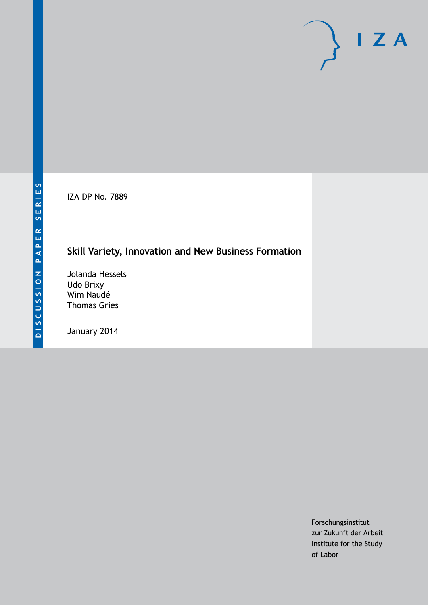IZA DP No. 7889

# **Skill Variety, Innovation and New Business Formation**

Jolanda Hessels Udo Brixy Wim Naudé Thomas Gries

January 2014

Forschungsinstitut zur Zukunft der Arbeit Institute for the Study of Labor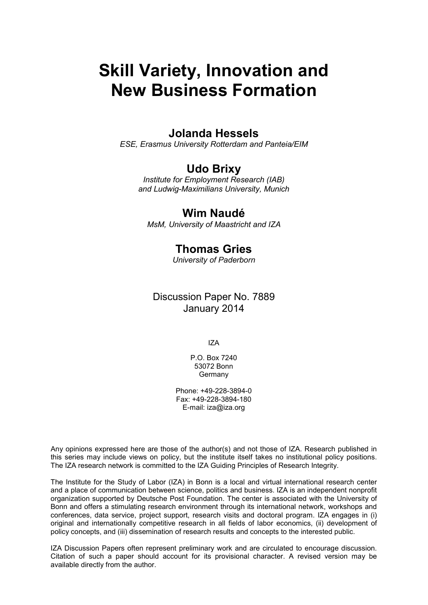# **Skill Variety, Innovation and New Business Formation**

# **Jolanda Hessels**

*ESE, Erasmus University Rotterdam and Panteia/EIM*

# **Udo Brixy**

*Institute for Employment Research (IAB) and Ludwig-Maximilians University, Munich*

## **Wim Naudé**

*MsM, University of Maastricht and IZA*

# **Thomas Gries**

*University of Paderborn*

Discussion Paper No. 7889 January 2014

IZA

P.O. Box 7240 53072 Bonn Germany

Phone: +49-228-3894-0 Fax: +49-228-3894-180 E-mail: [iza@iza.org](mailto:iza@iza.org)

Any opinions expressed here are those of the author(s) and not those of IZA. Research published in this series may include views on policy, but the institute itself takes no institutional policy positions. The IZA research network is committed to the IZA Guiding Principles of Research Integrity.

The Institute for the Study of Labor (IZA) in Bonn is a local and virtual international research center and a place of communication between science, politics and business. IZA is an independent nonprofit organization supported by Deutsche Post Foundation. The center is associated with the University of Bonn and offers a stimulating research environment through its international network, workshops and conferences, data service, project support, research visits and doctoral program. IZA engages in (i) original and internationally competitive research in all fields of labor economics, (ii) development of policy concepts, and (iii) dissemination of research results and concepts to the interested public.

IZA Discussion Papers often represent preliminary work and are circulated to encourage discussion. Citation of such a paper should account for its provisional character. A revised version may be available directly from the author.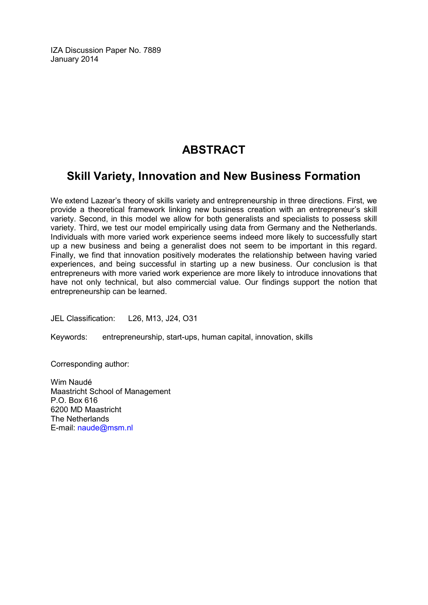IZA Discussion Paper No. 7889 January 2014

# **ABSTRACT**

# **Skill Variety, Innovation and New Business Formation**

We extend Lazear's theory of skills variety and entrepreneurship in three directions. First, we provide a theoretical framework linking new business creation with an entrepreneur's skill variety. Second, in this model we allow for both generalists and specialists to possess skill variety. Third, we test our model empirically using data from Germany and the Netherlands. Individuals with more varied work experience seems indeed more likely to successfully start up a new business and being a generalist does not seem to be important in this regard. Finally, we find that innovation positively moderates the relationship between having varied experiences, and being successful in starting up a new business. Our conclusion is that entrepreneurs with more varied work experience are more likely to introduce innovations that have not only technical, but also commercial value. Our findings support the notion that entrepreneurship can be learned.

JEL Classification: L26, M13, J24, O31

Keywords: entrepreneurship, start-ups, human capital, innovation, skills

Corresponding author:

Wim Naudé Maastricht School of Management P.O. Box 616 6200 MD Maastricht The Netherlands E-mail: [naude@msm.nl](mailto:naude@msm.nl)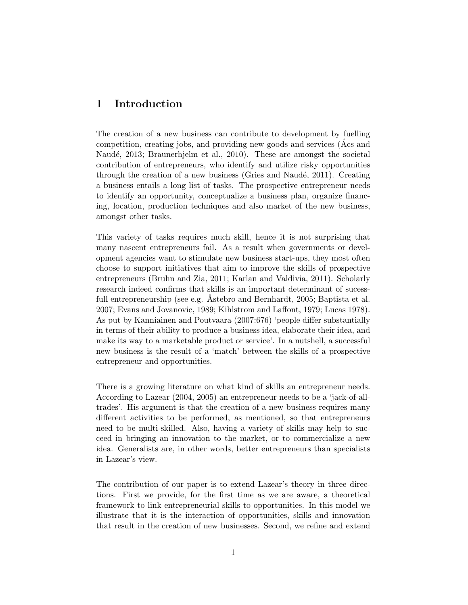### 1 Introduction

The creation of a new business can contribute to development by fuelling competition, creating jobs, and providing new goods and services ( $\acute{A}$ cs and Naudé, 2013; Braunerhjelm et al., 2010). These are amongst the societal contribution of entrepreneurs, who identify and utilize risky opportunities through the creation of a new business (Gries and Naudé,  $2011$ ). Creating a business entails a long list of tasks. The prospective entrepreneur needs to identify an opportunity, conceptualize a business plan, organize financing, location, production techniques and also market of the new business, amongst other tasks.

This variety of tasks requires much skill, hence it is not surprising that many nascent entrepreneurs fail. As a result when governments or development agencies want to stimulate new business start-ups, they most often choose to support initiatives that aim to improve the skills of prospective entrepreneurs (Bruhn and Zia, 2011; Karlan and Valdivia, 2011). Scholarly research indeed confirms that skills is an important determinant of sucessfull entrepreneurship (see e.g. Åstebro and Bernhardt, 2005; Baptista et al. 2007; Evans and Jovanovic, 1989; Kihlstrom and Laffont, 1979; Lucas 1978). As put by Kanniainen and Poutvaara (2007:676) 'people differ substantially in terms of their ability to produce a business idea, elaborate their idea, and make its way to a marketable product or service'. In a nutshell, a successful new business is the result of a 'match' between the skills of a prospective entrepreneur and opportunities.

There is a growing literature on what kind of skills an entrepreneur needs. According to Lazear (2004, 2005) an entrepreneur needs to be a 'jack-of-alltrades'. His argument is that the creation of a new business requires many different activities to be performed, as mentioned, so that entrepreneurs need to be multi-skilled. Also, having a variety of skills may help to succeed in bringing an innovation to the market, or to commercialize a new idea. Generalists are, in other words, better entrepreneurs than specialists in Lazear's view.

The contribution of our paper is to extend Lazear's theory in three directions. First we provide, for the first time as we are aware, a theoretical framework to link entrepreneurial skills to opportunities. In this model we illustrate that it is the interaction of opportunities, skills and innovation that result in the creation of new businesses. Second, we refine and extend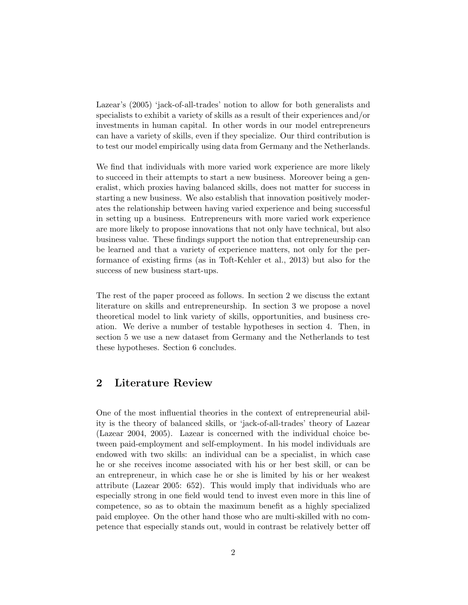Lazear's (2005) 'jack-of-all-trades' notion to allow for both generalists and specialists to exhibit a variety of skills as a result of their experiences and/or investments in human capital. In other words in our model entrepreneurs can have a variety of skills, even if they specialize. Our third contribution is to test our model empirically using data from Germany and the Netherlands.

We find that individuals with more varied work experience are more likely to succeed in their attempts to start a new business. Moreover being a generalist, which proxies having balanced skills, does not matter for success in starting a new business. We also establish that innovation positively moderates the relationship between having varied experience and being successful in setting up a business. Entrepreneurs with more varied work experience are more likely to propose innovations that not only have technical, but also business value. These findings support the notion that entrepreneurship can be learned and that a variety of experience matters, not only for the performance of existing firms (as in Toft-Kehler et al., 2013) but also for the success of new business start-ups.

The rest of the paper proceed as follows. In section 2 we discuss the extant literature on skills and entrepreneurship. In section 3 we propose a novel theoretical model to link variety of skills, opportunities, and business creation. We derive a number of testable hypotheses in section 4. Then, in section 5 we use a new dataset from Germany and the Netherlands to test these hypotheses. Section 6 concludes.

### 2 Literature Review

One of the most influential theories in the context of entrepreneurial ability is the theory of balanced skills, or 'jack-of-all-trades' theory of Lazear (Lazear 2004, 2005). Lazear is concerned with the individual choice between paid-employment and self-employment. In his model individuals are endowed with two skills: an individual can be a specialist, in which case he or she receives income associated with his or her best skill, or can be an entrepreneur, in which case he or she is limited by his or her weakest attribute (Lazear 2005: 652). This would imply that individuals who are especially strong in one field would tend to invest even more in this line of competence, so as to obtain the maximum benefit as a highly specialized paid employee. On the other hand those who are multi-skilled with no competence that especially stands out, would in contrast be relatively better off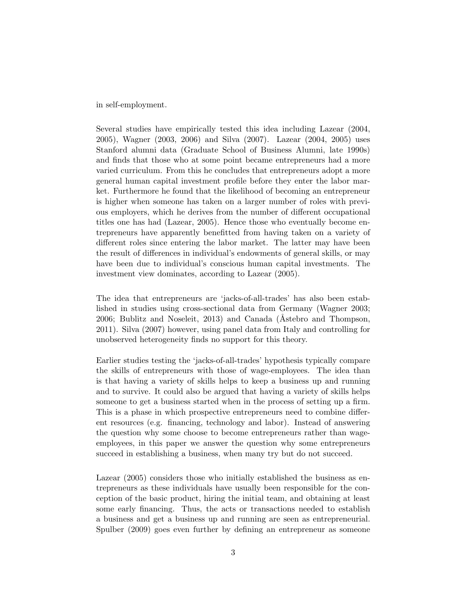in self-employment.

Several studies have empirically tested this idea including Lazear (2004, 2005), Wagner (2003, 2006) and Silva (2007). Lazear (2004, 2005) uses Stanford alumni data (Graduate School of Business Alumni, late 1990s) and finds that those who at some point became entrepreneurs had a more varied curriculum. From this he concludes that entrepreneurs adopt a more general human capital investment profile before they enter the labor market. Furthermore he found that the likelihood of becoming an entrepreneur is higher when someone has taken on a larger number of roles with previous employers, which he derives from the number of different occupational titles one has had (Lazear, 2005). Hence those who eventually become entrepreneurs have apparently benefitted from having taken on a variety of different roles since entering the labor market. The latter may have been the result of differences in individual's endowments of general skills, or may have been due to individual's conscious human capital investments. The investment view dominates, according to Lazear (2005).

The idea that entrepreneurs are 'jacks-of-all-trades' has also been established in studies using cross-sectional data from Germany (Wagner 2003; 2006; Bublitz and Noseleit, 2013) and Canada (Åstebro and Thompson, 2011). Silva (2007) however, using panel data from Italy and controlling for unobserved heterogeneity finds no support for this theory.

Earlier studies testing the 'jacks-of-all-trades' hypothesis typically compare the skills of entrepreneurs with those of wage-employees. The idea than is that having a variety of skills helps to keep a business up and running and to survive. It could also be argued that having a variety of skills helps someone to get a business started when in the process of setting up a firm. This is a phase in which prospective entrepreneurs need to combine different resources (e.g. financing, technology and labor). Instead of answering the question why some choose to become entrepreneurs rather than wageemployees, in this paper we answer the question why some entrepreneurs succeed in establishing a business, when many try but do not succeed.

Lazear (2005) considers those who initially established the business as entrepreneurs as these individuals have usually been responsible for the conception of the basic product, hiring the initial team, and obtaining at least some early financing. Thus, the acts or transactions needed to establish a business and get a business up and running are seen as entrepreneurial. Spulber (2009) goes even further by defining an entrepreneur as someone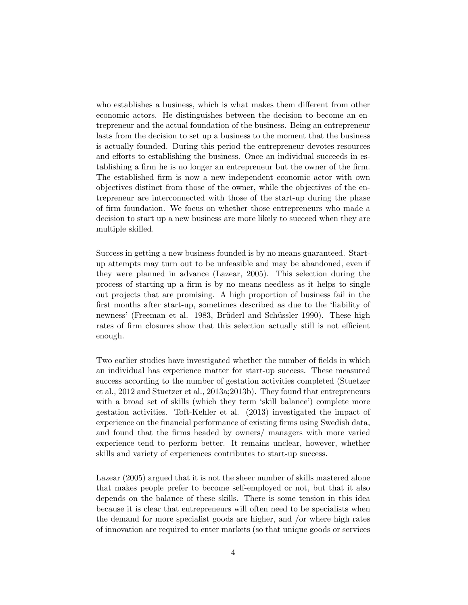who establishes a business, which is what makes them different from other economic actors. He distinguishes between the decision to become an entrepreneur and the actual foundation of the business. Being an entrepreneur lasts from the decision to set up a business to the moment that the business is actually founded. During this period the entrepreneur devotes resources and efforts to establishing the business. Once an individual succeeds in establishing a firm he is no longer an entrepreneur but the owner of the firm. The established firm is now a new independent economic actor with own objectives distinct from those of the owner, while the objectives of the entrepreneur are interconnected with those of the start-up during the phase of firm foundation. We focus on whether those entrepreneurs who made a decision to start up a new business are more likely to succeed when they are multiple skilled.

Success in getting a new business founded is by no means guaranteed. Startup attempts may turn out to be unfeasible and may be abandoned, even if they were planned in advance (Lazear, 2005). This selection during the process of starting-up a firm is by no means needless as it helps to single out projects that are promising. A high proportion of business fail in the first months after start-up, sometimes described as due to the 'liability of newness' (Freeman et al. 1983, Brüderl and Schüssler 1990). These high rates of firm closures show that this selection actually still is not efficient enough.

Two earlier studies have investigated whether the number of fields in which an individual has experience matter for start-up success. These measured success according to the number of gestation activities completed (Stuetzer et al., 2012 and Stuetzer et al., 2013a;2013b). They found that entrepreneurs with a broad set of skills (which they term 'skill balance') complete more gestation activities. Toft-Kehler et al. (2013) investigated the impact of experience on the financial performance of existing firms using Swedish data, and found that the firms headed by owners/ managers with more varied experience tend to perform better. It remains unclear, however, whether skills and variety of experiences contributes to start-up success.

Lazear (2005) argued that it is not the sheer number of skills mastered alone that makes people prefer to become self-employed or not, but that it also depends on the balance of these skills. There is some tension in this idea because it is clear that entrepreneurs will often need to be specialists when the demand for more specialist goods are higher, and /or where high rates of innovation are required to enter markets (so that unique goods or services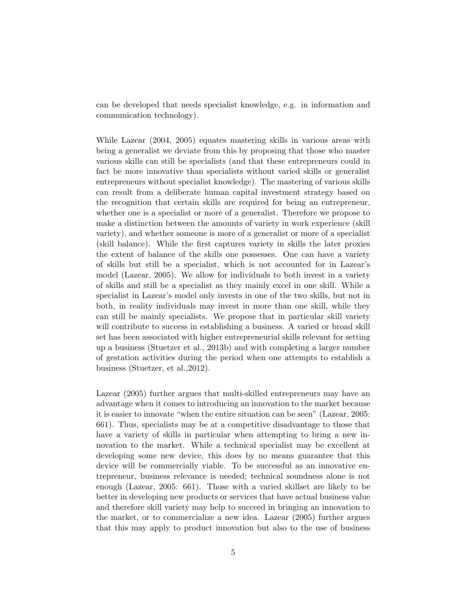can be developed that needs specialist knowledge, e.g. in information and communication technology).

While Lazear (2004, 2005) equates mastering skills in various areas with being a generalist we deviate from this by proposing that those who master various skills can still be specialists (and that these entrepreneurs could in fact be more innovative than specialists without varied skills or generalist entrepreneurs without specialist knowledge). The mastering of various skills can result from a deliberate human capital investment strategy based on the recognition that certain skills are required for being an entrepreneur, whether one is a specialist or more of a generalist. Therefore we propose to make a distinction between the amounts of variety in work experience (skill variety), and whether someone is more of a generalist or more of a specialist (skill balance). While the first captures variety in skills the later proxies the extent of balance of the skills one possesses. One can have a variety of skills but still be a specialist, which is not accounted for in Lazear's model (Lazear, 2005). We allow for individuals to both invest in a variety of skills and still be a specialist as they mainly excel in one skill. While a specialist in Lazear's model only invests in one of the two skills, but not in both, in reality individuals may invest in more than one skill, while they can still be mainly specialists. We propose that in particular skill variety will contribute to success in establishing a business. A varied or broad skill set has been associated with higher entrepreneurial skills relevant for setting up a business (Stuetzer et al., 2013b) and with completing a larger number of gestation activities during the period when one attempts to establish a business (Stuetzer, et al.,2012).

Lazear (2005) further argues that multi-skilled entrepreneurs may have an advantage when it comes to introducing an innovation to the market because it is easier to innovate "when the entire situation can be seen" (Lazear, 2005: 661). Thus, specialists may be at a competitive disadvantage to those that have a variety of skills in particular when attempting to bring a new innovation to the market. While a technical specialist may be excellent at developing some new device, this does by no means guarantee that this device will be commercially viable. To be successful as an innovative entrepreneur, business relevance is needed; technical soundness alone is not enough (Lazear, 2005: 661). Those with a varied skillset are likely to be better in developing new products or services that have actual business value and therefore skill variety may help to succeed in bringing an innovation to the market, or to commercialize a new idea. Lazear (2005) further argues that this may apply to product innovation but also to the use of business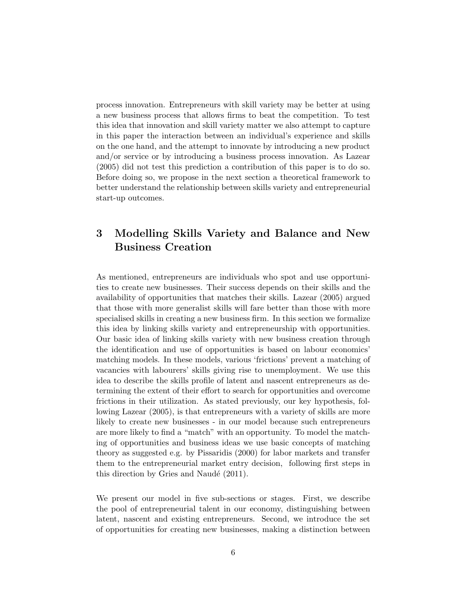process innovation. Entrepreneurs with skill variety may be better at using a new business process that allows firms to beat the competition. To test this idea that innovation and skill variety matter we also attempt to capture in this paper the interaction between an individual's experience and skills on the one hand, and the attempt to innovate by introducing a new product and/or service or by introducing a business process innovation. As Lazear (2005) did not test this prediction a contribution of this paper is to do so. Before doing so, we propose in the next section a theoretical framework to better understand the relationship between skills variety and entrepreneurial start-up outcomes.

# 3 Modelling Skills Variety and Balance and New Business Creation

As mentioned, entrepreneurs are individuals who spot and use opportunities to create new businesses. Their success depends on their skills and the availability of opportunities that matches their skills. Lazear (2005) argued that those with more generalist skills will fare better than those with more specialised skills in creating a new business firm. In this section we formalize this idea by linking skills variety and entrepreneurship with opportunities. Our basic idea of linking skills variety with new business creation through the identification and use of opportunities is based on labour economics' matching models. In these models, various 'frictions' prevent a matching of vacancies with labourers' skills giving rise to unemployment. We use this idea to describe the skills profile of latent and nascent entrepreneurs as determining the extent of their effort to search for opportunities and overcome frictions in their utilization. As stated previously, our key hypothesis, following Lazear (2005), is that entrepreneurs with a variety of skills are more likely to create new businesses - in our model because such entrepreneurs are more likely to find a "match" with an opportunity. To model the matching of opportunities and business ideas we use basic concepts of matching theory as suggested e.g. by Pissaridis (2000) for labor markets and transfer them to the entrepreneurial market entry decision, following first steps in this direction by Gries and Naudé  $(2011)$ .

We present our model in five sub-sections or stages. First, we describe the pool of entrepreneurial talent in our economy, distinguishing between latent, nascent and existing entrepreneurs. Second, we introduce the set of opportunities for creating new businesses, making a distinction between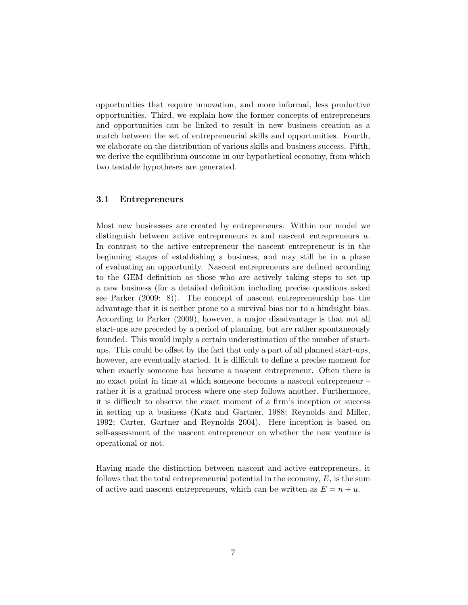opportunities that require innovation, and more informal, less productive opportunities. Third, we explain how the former concepts of entrepreneurs and opportunities can be linked to result in new business creation as a match between the set of entrepreneurial skills and opportunities. Fourth, we elaborate on the distribution of various skills and business success. Fifth, we derive the equilibrium outcome in our hypothetical economy, from which two testable hypotheses are generated.

#### 3.1 Entrepreneurs

Most new businesses are created by entrepreneurs. Within our model we distinguish between active entrepreneurs  $n$  and nascent entrepreneurs  $u$ . In contrast to the active entrepreneur the nascent entrepreneur is in the beginning stages of establishing a business, and may still be in a phase of evaluating an opportunity. Nascent entrepreneurs are defined according to the GEM definition as those who are actively taking steps to set up a new business (for a detailed definition including precise questions asked see Parker (2009: 8)). The concept of nascent entrepreneurship has the advantage that it is neither prone to a survival bias nor to a hindsight bias. According to Parker (2009), however, a major disadvantage is that not all start-ups are preceded by a period of planning, but are rather spontaneously founded. This would imply a certain underestimation of the number of startups. This could be offset by the fact that only a part of all planned start-ups, however, are eventually started. It is difficult to define a precise moment for when exactly someone has become a nascent entrepreneur. Often there is no exact point in time at which someone becomes a nascent entrepreneur – rather it is a gradual process where one step follows another. Furthermore, it is difficult to observe the exact moment of a firm's inception or success in setting up a business (Katz and Gartner, 1988; Reynolds and Miller, 1992; Carter, Gartner and Reynolds 2004). Here inception is based on self-assessment of the nascent entrepreneur on whether the new venture is operational or not.

Having made the distinction between nascent and active entrepreneurs, it follows that the total entrepreneurial potential in the economy,  $E$ , is the sum of active and nascent entrepreneurs, which can be written as  $E = n + u$ .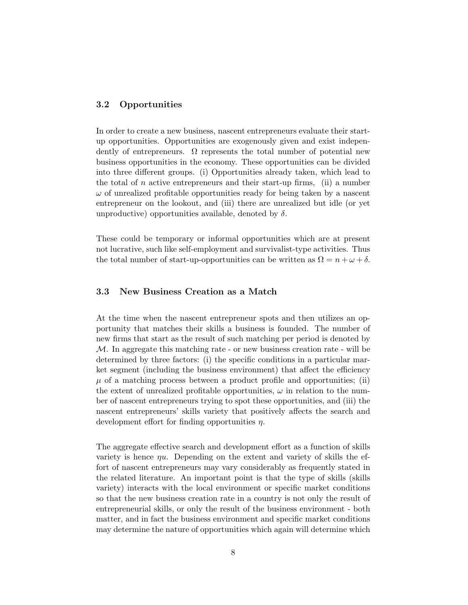#### 3.2 Opportunities

In order to create a new business, nascent entrepreneurs evaluate their startup opportunities. Opportunities are exogenously given and exist independently of entrepreneurs.  $\Omega$  represents the total number of potential new business opportunities in the economy. These opportunities can be divided into three different groups. (i) Opportunities already taken, which lead to the total of n active entrepreneurs and their start-up firms, (ii) a number  $\omega$  of unrealized profitable opportunities ready for being taken by a nascent entrepreneur on the lookout, and (iii) there are unrealized but idle (or yet unproductive) opportunities available, denoted by  $\delta$ .

These could be temporary or informal opportunities which are at present not lucrative, such like self-employment and survivalist-type activities. Thus the total number of start-up-opportunities can be written as  $\Omega = n + \omega + \delta$ .

#### 3.3 New Business Creation as a Match

At the time when the nascent entrepreneur spots and then utilizes an opportunity that matches their skills a business is founded. The number of new firms that start as the result of such matching per period is denoted by M. In aggregate this matching rate - or new business creation rate - will be determined by three factors: (i) the specific conditions in a particular market segment (including the business environment) that affect the efficiency  $\mu$  of a matching process between a product profile and opportunities; (ii) the extent of unrealized profitable opportunities,  $\omega$  in relation to the number of nascent entrepreneurs trying to spot these opportunities, and (iii) the nascent entrepreneurs' skills variety that positively affects the search and development effort for finding opportunities  $\eta$ .

The aggregate effective search and development effort as a function of skills variety is hence  $\eta u$ . Depending on the extent and variety of skills the effort of nascent entrepreneurs may vary considerably as frequently stated in the related literature. An important point is that the type of skills (skills variety) interacts with the local environment or specific market conditions so that the new business creation rate in a country is not only the result of entrepreneurial skills, or only the result of the business environment - both matter, and in fact the business environment and specific market conditions may determine the nature of opportunities which again will determine which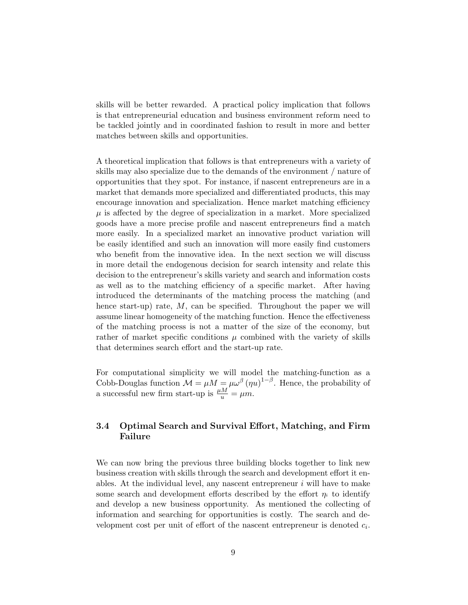skills will be better rewarded. A practical policy implication that follows is that entrepreneurial education and business environment reform need to be tackled jointly and in coordinated fashion to result in more and better matches between skills and opportunities.

A theoretical implication that follows is that entrepreneurs with a variety of skills may also specialize due to the demands of the environment / nature of opportunities that they spot. For instance, if nascent entrepreneurs are in a market that demands more specialized and differentiated products, this may encourage innovation and specialization. Hence market matching efficiency  $\mu$  is affected by the degree of specialization in a market. More specialized goods have a more precise profile and nascent entrepreneurs find a match more easily. In a specialized market an innovative product variation will be easily identified and such an innovation will more easily find customers who benefit from the innovative idea. In the next section we will discuss in more detail the endogenous decision for search intensity and relate this decision to the entrepreneur's skills variety and search and information costs as well as to the matching efficiency of a specific market. After having introduced the determinants of the matching process the matching (and hence start-up) rate,  $M$ , can be specified. Throughout the paper we will assume linear homogeneity of the matching function. Hence the effectiveness of the matching process is not a matter of the size of the economy, but rather of market specific conditions  $\mu$  combined with the variety of skills that determines search effort and the start-up rate.

For computational simplicity we will model the matching-function as a Cobb-Douglas function  $\mathcal{M} = \mu \mathcal{M} = \mu \omega^{\beta} (\eta u)^{1-\beta}$ . Hence, the probability of a successful new firm start-up is  $\frac{\mu M}{u} = \mu m$ .

#### 3.4 Optimal Search and Survival Effort, Matching, and Firm Failure

We can now bring the previous three building blocks together to link new business creation with skills through the search and development effort it enables. At the individual level, any nascent entrepreneur  $i$  will have to make some search and development efforts described by the effort  $\eta_i$  to identify and develop a new business opportunity. As mentioned the collecting of information and searching for opportunities is costly. The search and development cost per unit of effort of the nascent entrepreneur is denoted  $c_i$ .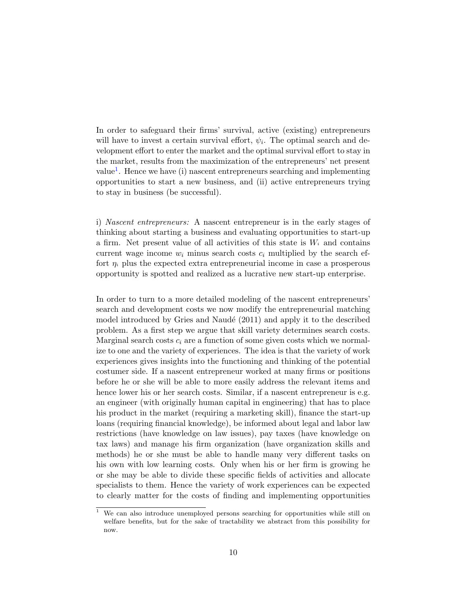In order to safeguard their firms' survival, active (existing) entrepreneurs will have to invest a certain survival effort,  $\psi_i$ . The optimal search and development effort to enter the market and the optimal survival effort to stay in the market, results from the maximization of the entrepreneurs' net present value<sup>[1](#page-12-0)</sup>. Hence we have (i) nascent entrepreneurs searching and implementing opportunities to start a new business, and (ii) active entrepreneurs trying to stay in business (be successful).

i) Nascent entrepreneurs: A nascent entrepreneur is in the early stages of thinking about starting a business and evaluating opportunities to start-up a firm. Net present value of all activities of this state is  $W_i$  and contains current wage income  $w_i$  minus search costs  $c_i$  multiplied by the search effort  $\eta_i$  plus the expected extra entrepreneurial income in case a prosperous opportunity is spotted and realized as a lucrative new start-up enterprise.

In order to turn to a more detailed modeling of the nascent entrepreneurs' search and development costs we now modify the entrepreneurial matching model introduced by Gries and Naudé  $(2011)$  and apply it to the described problem. As a first step we argue that skill variety determines search costs. Marginal search costs  $c_i$  are a function of some given costs which we normalize to one and the variety of experiences. The idea is that the variety of work experiences gives insights into the functioning and thinking of the potential costumer side. If a nascent entrepreneur worked at many firms or positions before he or she will be able to more easily address the relevant items and hence lower his or her search costs. Similar, if a nascent entrepreneur is e.g. an engineer (with originally human capital in engineering) that has to place his product in the market (requiring a marketing skill), finance the start-up loans (requiring financial knowledge), be informed about legal and labor law restrictions (have knowledge on law issues), pay taxes (have knowledge on tax laws) and manage his firm organization (have organization skills and methods) he or she must be able to handle many very different tasks on his own with low learning costs. Only when his or her firm is growing he or she may be able to divide these specific fields of activities and allocate specialists to them. Hence the variety of work experiences can be expected to clearly matter for the costs of finding and implementing opportunities

<span id="page-12-0"></span>We can also introduce unemployed persons searching for opportunities while still on welfare benefits, but for the sake of tractability we abstract from this possibility for now.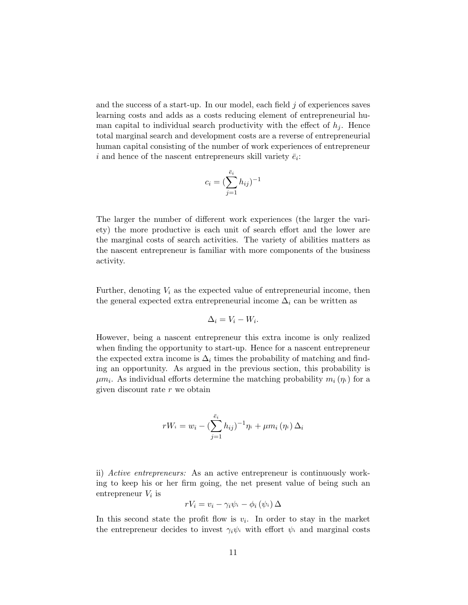and the success of a start-up. In our model, each field  $j$  of experiences saves learning costs and adds as a costs reducing element of entrepreneurial human capital to individual search productivity with the effect of  $h_j$ . Hence total marginal search and development costs are a reverse of entrepreneurial human capital consisting of the number of work experiences of entrepreneur i and hence of the nascent entrepreneurs skill variety  $\bar{e}_i$ :

$$
c_i = (\sum_{j=1}^{\bar{e}_i} h_{ij})^{-1}
$$

The larger the number of different work experiences (the larger the variety) the more productive is each unit of search effort and the lower are the marginal costs of search activities. The variety of abilities matters as the nascent entrepreneur is familiar with more components of the business activity.

Further, denoting  $V_i$  as the expected value of entrepreneurial income, then the general expected extra entrepreneurial income  $\Delta_i$  can be written as

$$
\Delta_i = V_i - W_i.
$$

However, being a nascent entrepreneur this extra income is only realized when finding the opportunity to start-up. Hence for a nascent entrepreneur the expected extra income is  $\Delta_i$  times the probability of matching and finding an opportunity. As argued in the previous section, this probability is  $\mu m_i$ . As individual efforts determine the matching probability  $m_i(\eta_i)$  for a given discount rate r we obtain

$$
rW_i = w_i - (\sum_{j=1}^{\bar{e}_i} h_{ij})^{-1} \eta_i + \mu m_i (\eta_i) \Delta_i
$$

ii) Active entrepreneurs: As an active entrepreneur is continuously working to keep his or her firm going, the net present value of being such an entrepreneur  $V_i$  is

$$
rV_i = v_i - \gamma_i \psi_i - \phi_i(\psi_i) \Delta
$$

In this second state the profit flow is  $v_i$ . In order to stay in the market the entrepreneur decides to invest  $\gamma_i \psi_i$  with effort  $\psi_i$  and marginal costs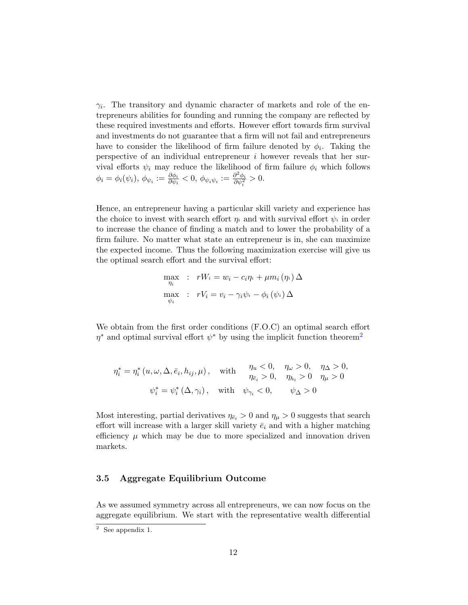$\gamma_i$ . The transitory and dynamic character of markets and role of the entrepreneurs abilities for founding and running the company are reflected by these required investments and efforts. However effort towards firm survival and investments do not guarantee that a firm will not fail and entrepreneurs have to consider the likelihood of firm failure denoted by  $\phi_i$ . Taking the perspective of an individual entrepreneur i however reveals that her survival efforts  $\psi_i$  may reduce the likelihood of firm failure  $\phi_i$  which follows  $\phi_i = \phi_i(\psi_i), \, \phi_{\psi_i} := \frac{\partial \phi_i}{\partial \psi_i}$  $\frac{\partial \phi_i}{\partial \psi_i} < 0, \, \phi_{\psi_i \psi_i} := \frac{\partial^2 \phi_i}{\partial \psi_i^2}$  $\frac{\partial^2 \phi_i}{\partial \psi_i^2} > 0.$ 

Hence, an entrepreneur having a particular skill variety and experience has the choice to invest with search effort  $\eta_i$  and with survival effort  $\psi_i$  in order to increase the chance of finding a match and to lower the probability of a firm failure. No matter what state an entrepreneur is in, she can maximize the expected income. Thus the following maximization exercise will give us the optimal search effort and the survival effort:

$$
\max_{\eta_i} : rW_i = w_i - c_i \eta_i + \mu m_i (\eta_i) \Delta
$$

$$
\max_{\psi_i} : rV_i = v_i - \gamma_i \psi_i - \phi_i (\psi_i) \Delta
$$

We obtain from the first order conditions  $(F.O.C)$  an optimal search effort  $\eta^*$  and optimal survival effort  $\psi^*$  by using the implicit function theorem<sup>[2](#page-14-0)</sup>

$$
\eta_i^* = \eta_i^* (u, \omega, \Delta, \bar{e}_i, h_{ij}, \mu), \quad \text{with} \quad \begin{array}{l} \eta_u < 0, \quad \eta_\omega > 0, \quad \eta_\Delta > 0, \\ \eta_{\bar{e}_i} > 0, \quad \eta_{h_i} > 0 \quad \eta_\mu > 0 \end{array}
$$
\n
$$
\psi_i^* = \psi_i^* (\Delta, \gamma_i), \quad \text{with} \quad \psi_{\gamma_i} < 0, \quad \psi_\Delta > 0
$$

Most interesting, partial derivatives  $\eta_{\bar{e}_i} > 0$  and  $\eta_{\mu} > 0$  suggests that search effort will increase with a larger skill variety  $\bar{e}_i$  and with a higher matching efficiency  $\mu$  which may be due to more specialized and innovation driven markets.

#### 3.5 Aggregate Equilibrium Outcome

As we assumed symmetry across all entrepreneurs, we can now focus on the aggregate equilibrium. We start with the representative wealth differential

<span id="page-14-0"></span> $\overline{a}$  See appendix 1.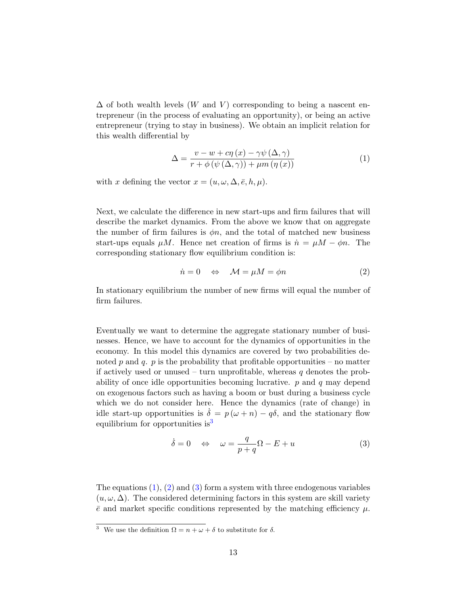$\Delta$  of both wealth levels (W and V) corresponding to being a nascent entrepreneur (in the process of evaluating an opportunity), or being an active entrepreneur (trying to stay in business). We obtain an implicit relation for this wealth differential by

<span id="page-15-1"></span>
$$
\Delta = \frac{v - w + c\eta(x) - \gamma\psi(\Delta, \gamma)}{r + \phi(\psi(\Delta, \gamma)) + \mu m(\eta(x))}
$$
(1)

with x defining the vector  $x = (u, \omega, \Delta, \bar{e}, h, \mu)$ .

Next, we calculate the difference in new start-ups and firm failures that will describe the market dynamics. From the above we know that on aggregate the number of firm failures is  $\phi n$ , and the total of matched new business start-ups equals  $\mu M$ . Hence net creation of firms is  $\dot{n} = \mu M - \phi n$ . The corresponding stationary flow equilibrium condition is:

<span id="page-15-2"></span>
$$
\dot{n} = 0 \quad \Leftrightarrow \quad \mathcal{M} = \mu M = \phi n \tag{2}
$$

In stationary equilibrium the number of new firms will equal the number of firm failures.

Eventually we want to determine the aggregate stationary number of businesses. Hence, we have to account for the dynamics of opportunities in the economy. In this model this dynamics are covered by two probabilities denoted p and q. p is the probability that profitable opportunities – no matter if actively used or unused – turn unprofitable, whereas  $q$  denotes the probability of once idle opportunities becoming lucrative.  $p$  and  $q$  may depend on exogenous factors such as having a boom or bust during a business cycle which we do not consider here. Hence the dynamics (rate of change) in idle start-up opportunities is  $\delta = p(\omega + n) - q\delta$ , and the stationary flow equilibrium for opportunities is<sup>[3](#page-15-0)</sup>

<span id="page-15-3"></span>
$$
\dot{\delta} = 0 \quad \Leftrightarrow \quad \omega = \frac{q}{p+q}\Omega - E + u \tag{3}
$$

The equations  $(1)$ ,  $(2)$  and  $(3)$  form a system with three endogenous variables  $(u, \omega, \Delta)$ . The considered determining factors in this system are skill variety  $\bar{e}$  and market specific conditions represented by the matching efficiency  $\mu$ .

<span id="page-15-0"></span><sup>&</sup>lt;sup>3</sup> We use the definition  $\Omega = n + \omega + \delta$  to substitute for  $\delta$ .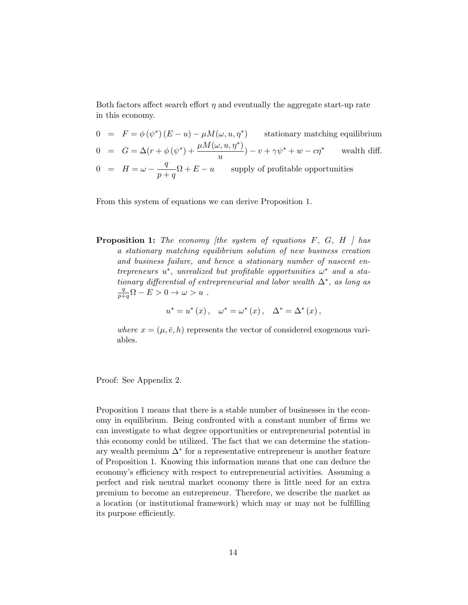Both factors affect search effort  $\eta$  and eventually the aggregate start-up rate in this economy.

$$
0 = F = \phi(\psi^*)(E - u) - \mu M(\omega, u, \eta^*)
$$
stationary matching equilibrium  
\n
$$
0 = G = \Delta(r + \phi(\psi^*) + \frac{\mu M(\omega, u, \eta^*)}{u}) - v + \gamma \psi^* + w - c\eta^*
$$
 wealth diff.  
\n
$$
0 = H = \omega - \frac{q}{p+q}\Omega + E - u
$$
 supply of profitable opportunities

From this system of equations we can derive Proposition 1.

**Proposition 1:** The economy [the system of equations  $F$ ,  $G$ ,  $H$  ] has a stationary matching equilibrium solution of new business creation and business failure, and hence a stationary number of nascent entrepreneurs  $u^*$ , unrealized but profitable opportunities  $\omega^*$  and a stationary differential of entrepreneurial and labor wealth  $\Delta^*$ , as long as q  $\frac{q}{p+q}\Omega - E > 0 \rightarrow \omega > u$ .

$$
u^* = u^*(x)
$$
,  $\omega^* = \omega^*(x)$ ,  $\Delta^* = \Delta^*(x)$ ,

where  $x = (\mu, \bar{e}, h)$  represents the vector of considered exogenous variables.

Proof: See Appendix 2.

Proposition 1 means that there is a stable number of businesses in the economy in equilibrium. Being confronted with a constant number of firms we can investigate to what degree opportunities or entrepreneurial potential in this economy could be utilized. The fact that we can determine the stationary wealth premium  $\Delta^*$  for a representative entrepreneur is another feature of Proposition 1. Knowing this information means that one can deduce the economy's efficiency with respect to entrepreneurial activities. Assuming a perfect and risk neutral market economy there is little need for an extra premium to become an entrepreneur. Therefore, we describe the market as a location (or institutional framework) which may or may not be fulfilling its purpose efficiently.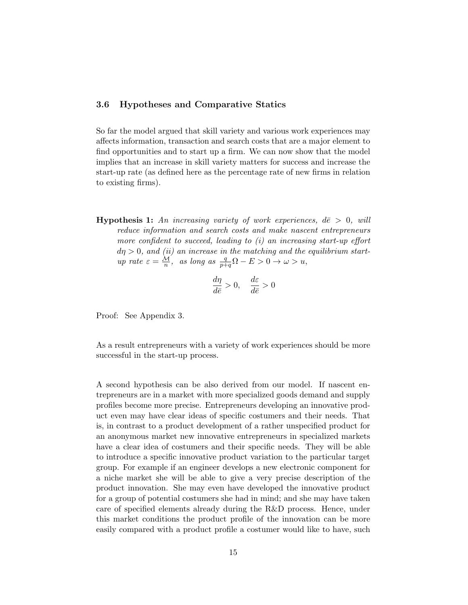#### 3.6 Hypotheses and Comparative Statics

So far the model argued that skill variety and various work experiences may affects information, transaction and search costs that are a major element to find opportunities and to start up a firm. We can now show that the model implies that an increase in skill variety matters for success and increase the start-up rate (as defined here as the percentage rate of new firms in relation to existing firms).

**Hypothesis 1:** An increasing variety of work experiences,  $d\bar{e} > 0$ , will reduce information and search costs and make nascent entrepreneurs more confident to succeed, leading to  $(i)$  an increasing start-up effort  $d\eta > 0$ , and (ii) an increase in the matching and the equilibrium startup rate  $\varepsilon = \frac{\mathcal{M}}{n}$ , as long as  $\frac{q}{p+q}\Omega - E > 0 \rightarrow \omega > u$ ,

$$
\frac{d\eta}{d\bar{e}} > 0, \quad \frac{d\varepsilon}{d\bar{e}} > 0
$$

Proof: See Appendix 3.

As a result entrepreneurs with a variety of work experiences should be more successful in the start-up process.

A second hypothesis can be also derived from our model. If nascent entrepreneurs are in a market with more specialized goods demand and supply profiles become more precise. Entrepreneurs developing an innovative product even may have clear ideas of specific costumers and their needs. That is, in contrast to a product development of a rather unspecified product for an anonymous market new innovative entrepreneurs in specialized markets have a clear idea of costumers and their specific needs. They will be able to introduce a specific innovative product variation to the particular target group. For example if an engineer develops a new electronic component for a niche market she will be able to give a very precise description of the product innovation. She may even have developed the innovative product for a group of potential costumers she had in mind; and she may have taken care of specified elements already during the R&D process. Hence, under this market conditions the product profile of the innovation can be more easily compared with a product profile a costumer would like to have, such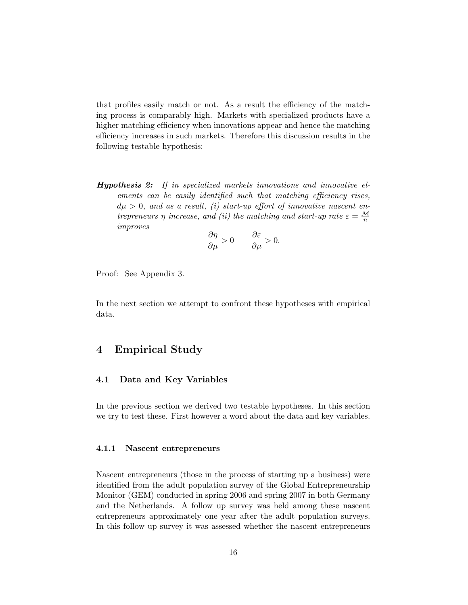that profiles easily match or not. As a result the efficiency of the matching process is comparably high. Markets with specialized products have a higher matching efficiency when innovations appear and hence the matching efficiency increases in such markets. Therefore this discussion results in the following testable hypothesis:

Hypothesis 2: If in specialized markets innovations and innovative elements can be easily identified such that matching efficiency rises,  $d\mu > 0$ , and as a result, (i) start-up effort of innovative nascent entrepreneurs  $\eta$  increase, and (ii) the matching and start-up rate  $\varepsilon = \frac{\mathcal{M}}{n}$ improves

$$
\frac{\partial \eta}{\partial \mu} > 0 \qquad \frac{\partial \varepsilon}{\partial \mu} > 0.
$$

Proof: See Appendix 3.

In the next section we attempt to confront these hypotheses with empirical data.

### 4 Empirical Study

#### 4.1 Data and Key Variables

In the previous section we derived two testable hypotheses. In this section we try to test these. First however a word about the data and key variables.

#### 4.1.1 Nascent entrepreneurs

Nascent entrepreneurs (those in the process of starting up a business) were identified from the adult population survey of the Global Entrepreneurship Monitor (GEM) conducted in spring 2006 and spring 2007 in both Germany and the Netherlands. A follow up survey was held among these nascent entrepreneurs approximately one year after the adult population surveys. In this follow up survey it was assessed whether the nascent entrepreneurs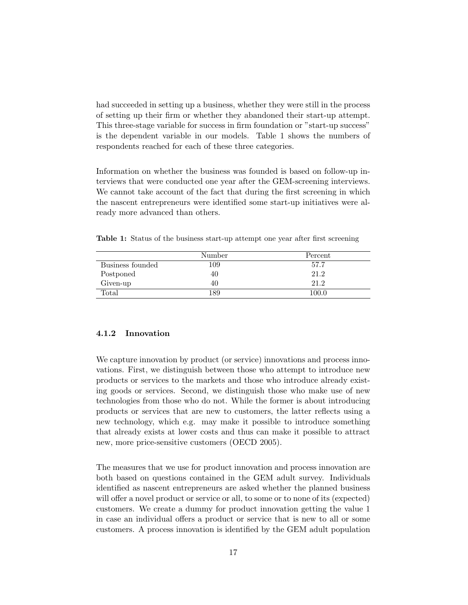had succeeded in setting up a business, whether they were still in the process of setting up their firm or whether they abandoned their start-up attempt. This three-stage variable for success in firm foundation or "start-up success" is the dependent variable in our models. Table 1 shows the numbers of respondents reached for each of these three categories.

Information on whether the business was founded is based on follow-up interviews that were conducted one year after the GEM-screening interviews. We cannot take account of the fact that during the first screening in which the nascent entrepreneurs were identified some start-up initiatives were already more advanced than others.

Table 1: Status of the business start-up attempt one year after first screening

|                  | Number | Percent   |
|------------------|--------|-----------|
| Business founded | 109    | 57.7      |
| Postponed        | 40     | 21.2      |
| Given-up         | 40     | 21.2      |
| Total            | 189    | $100.0\,$ |

#### 4.1.2 Innovation

We capture innovation by product (or service) innovations and process innovations. First, we distinguish between those who attempt to introduce new products or services to the markets and those who introduce already existing goods or services. Second, we distinguish those who make use of new technologies from those who do not. While the former is about introducing products or services that are new to customers, the latter reflects using a new technology, which e.g. may make it possible to introduce something that already exists at lower costs and thus can make it possible to attract new, more price-sensitive customers (OECD 2005).

The measures that we use for product innovation and process innovation are both based on questions contained in the GEM adult survey. Individuals identified as nascent entrepreneurs are asked whether the planned business will offer a novel product or service or all, to some or to none of its (expected) customers. We create a dummy for product innovation getting the value 1 in case an individual offers a product or service that is new to all or some customers. A process innovation is identified by the GEM adult population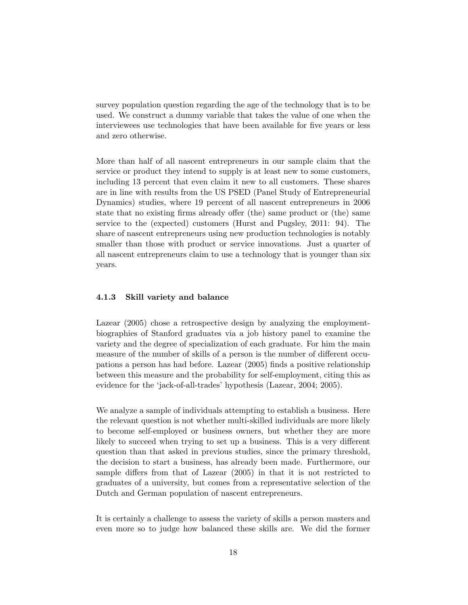survey population question regarding the age of the technology that is to be used. We construct a dummy variable that takes the value of one when the interviewees use technologies that have been available for five years or less and zero otherwise.

More than half of all nascent entrepreneurs in our sample claim that the service or product they intend to supply is at least new to some customers, including 13 percent that even claim it new to all customers. These shares are in line with results from the US PSED (Panel Study of Entrepreneurial Dynamics) studies, where 19 percent of all nascent entrepreneurs in 2006 state that no existing firms already offer (the) same product or (the) same service to the (expected) customers (Hurst and Pugsley, 2011: 94). The share of nascent entrepreneurs using new production technologies is notably smaller than those with product or service innovations. Just a quarter of all nascent entrepreneurs claim to use a technology that is younger than six years.

#### 4.1.3 Skill variety and balance

Lazear (2005) chose a retrospective design by analyzing the employmentbiographies of Stanford graduates via a job history panel to examine the variety and the degree of specialization of each graduate. For him the main measure of the number of skills of a person is the number of different occupations a person has had before. Lazear (2005) finds a positive relationship between this measure and the probability for self-employment, citing this as evidence for the 'jack-of-all-trades' hypothesis (Lazear, 2004; 2005).

We analyze a sample of individuals attempting to establish a business. Here the relevant question is not whether multi-skilled individuals are more likely to become self-employed or business owners, but whether they are more likely to succeed when trying to set up a business. This is a very different question than that asked in previous studies, since the primary threshold, the decision to start a business, has already been made. Furthermore, our sample differs from that of Lazear (2005) in that it is not restricted to graduates of a university, but comes from a representative selection of the Dutch and German population of nascent entrepreneurs.

It is certainly a challenge to assess the variety of skills a person masters and even more so to judge how balanced these skills are. We did the former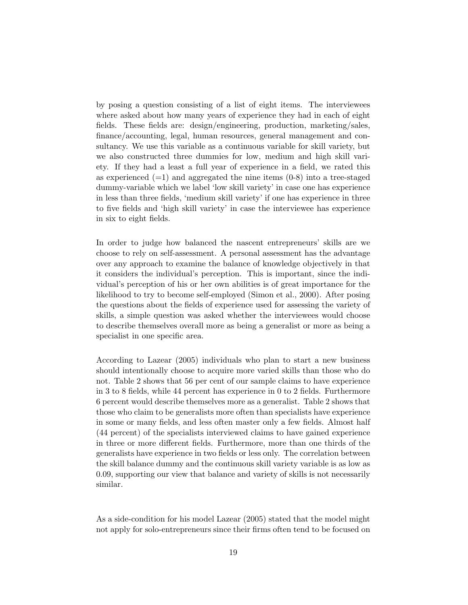by posing a question consisting of a list of eight items. The interviewees where asked about how many years of experience they had in each of eight fields. These fields are: design/engineering, production, marketing/sales, finance/accounting, legal, human resources, general management and consultancy. We use this variable as a continuous variable for skill variety, but we also constructed three dummies for low, medium and high skill variety. If they had a least a full year of experience in a field, we rated this as experienced  $(=1)$  and aggregated the nine items  $(0-8)$  into a tree-staged dummy-variable which we label 'low skill variety' in case one has experience in less than three fields, 'medium skill variety' if one has experience in three to five fields and 'high skill variety' in case the interviewee has experience in six to eight fields.

In order to judge how balanced the nascent entrepreneurs' skills are we choose to rely on self-assessment. A personal assessment has the advantage over any approach to examine the balance of knowledge objectively in that it considers the individual's perception. This is important, since the individual's perception of his or her own abilities is of great importance for the likelihood to try to become self-employed (Simon et al., 2000). After posing the questions about the fields of experience used for assessing the variety of skills, a simple question was asked whether the interviewees would choose to describe themselves overall more as being a generalist or more as being a specialist in one specific area.

According to Lazear (2005) individuals who plan to start a new business should intentionally choose to acquire more varied skills than those who do not. Table 2 shows that 56 per cent of our sample claims to have experience in 3 to 8 fields, while 44 percent has experience in 0 to 2 fields. Furthermore 6 percent would describe themselves more as a generalist. Table 2 shows that those who claim to be generalists more often than specialists have experience in some or many fields, and less often master only a few fields. Almost half (44 percent) of the specialists interviewed claims to have gained experience in three or more different fields. Furthermore, more than one thirds of the generalists have experience in two fields or less only. The correlation between the skill balance dummy and the continuous skill variety variable is as low as 0.09, supporting our view that balance and variety of skills is not necessarily similar.

As a side-condition for his model Lazear (2005) stated that the model might not apply for solo-entrepreneurs since their firms often tend to be focused on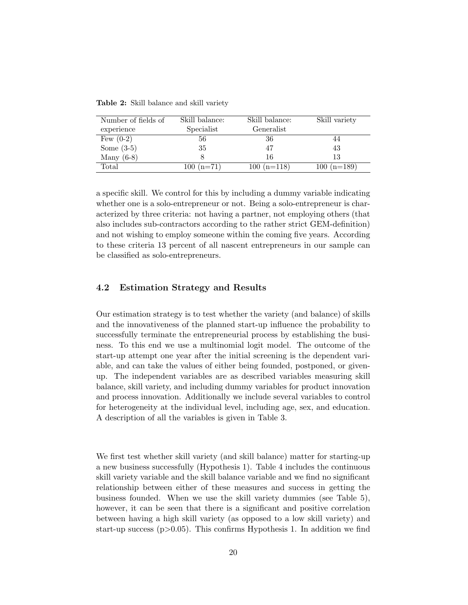Number of fields of Skill balance: Skill balance: Skill variety experience Specialist Generalist Few  $(0-2)$  56 36 44 Some (3-5) 35 47 43 Many (6-8) 8 16 13 Total  $100 (n=71)$   $100 (n=118)$   $100 (n=189)$ 

Table 2: Skill balance and skill variety

a specific skill. We control for this by including a dummy variable indicating whether one is a solo-entrepreneur or not. Being a solo-entrepreneur is characterized by three criteria: not having a partner, not employing others (that also includes sub-contractors according to the rather strict GEM-definition) and not wishing to employ someone within the coming five years. According to these criteria 13 percent of all nascent entrepreneurs in our sample can be classified as solo-entrepreneurs.

#### 4.2 Estimation Strategy and Results

Our estimation strategy is to test whether the variety (and balance) of skills and the innovativeness of the planned start-up influence the probability to successfully terminate the entrepreneurial process by establishing the business. To this end we use a multinomial logit model. The outcome of the start-up attempt one year after the initial screening is the dependent variable, and can take the values of either being founded, postponed, or givenup. The independent variables are as described variables measuring skill balance, skill variety, and including dummy variables for product innovation and process innovation. Additionally we include several variables to control for heterogeneity at the individual level, including age, sex, and education. A description of all the variables is given in Table 3.

We first test whether skill variety (and skill balance) matter for starting-up a new business successfully (Hypothesis 1). Table 4 includes the continuous skill variety variable and the skill balance variable and we find no significant relationship between either of these measures and success in getting the business founded. When we use the skill variety dummies (see Table 5), however, it can be seen that there is a significant and positive correlation between having a high skill variety (as opposed to a low skill variety) and start-up success  $(p>0.05)$ . This confirms Hypothesis 1. In addition we find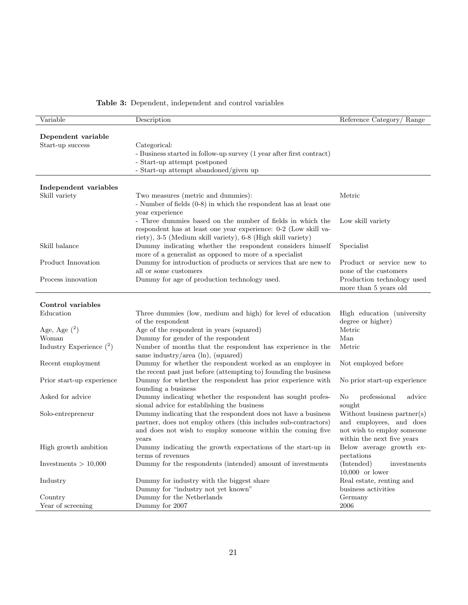|  | <b>Table 3:</b> Dependent, independent and control variables |  |  |
|--|--------------------------------------------------------------|--|--|

| Variable                   | Description                                                          | Reference Category/Range     |
|----------------------------|----------------------------------------------------------------------|------------------------------|
| Dependent variable         |                                                                      |                              |
| Start-up success           | Categorical:                                                         |                              |
|                            | - Business started in follow-up survey (1 year after first contract) |                              |
|                            | - Start-up attempt postponed                                         |                              |
|                            | - Start-up attempt abandoned/given up                                |                              |
|                            |                                                                      |                              |
| Independent variables      |                                                                      |                              |
| Skill variety              | Two measures (metric and dummies):                                   | Metric                       |
|                            | - Number of fields (0-8) in which the respondent has at least one    |                              |
|                            | year experience                                                      |                              |
|                            | - Three dummies based on the number of fields in which the           | Low skill variety            |
|                            | respondent has at least one year experience: 0-2 (Low skill va-      |                              |
|                            | riety), 3-5 (Medium skill variety), 6-8 (High skill variety)         |                              |
| Skill balance              | Dummy indicating whether the respondent considers himself            | Specialist                   |
|                            | more of a generalist as opposed to more of a specialist              |                              |
| Product Innovation         | Dummy for introduction of products or services that are new to       | Product or service new to    |
|                            | all or some customers                                                | none of the customers        |
| Process innovation         | Dummy for age of production technology used.                         | Production technology used   |
|                            |                                                                      |                              |
|                            |                                                                      | more than 5 years old        |
| Control variables          |                                                                      |                              |
| Education                  | Three dummies (low, medium and high) for level of education          | High education (university   |
|                            | of the respondent                                                    | degree or higher)            |
| Age, Age $(^2)$            | Age of the respondent in years (squared)                             | Metric                       |
| Woman                      | Dummy for gender of the respondent                                   | Man                          |
| Industry Experience $(^2)$ | Number of months that the respondent has experience in the           | Metric                       |
|                            | same industry/area $(\ln)$ , (squared)                               |                              |
| Recent employment          | Dummy for whether the respondent worked as an employee in            | Not employed before          |
|                            | the recent past just before (attempting to) founding the business    |                              |
|                            |                                                                      |                              |
| Prior start-up experience  | Dummy for whether the respondent has prior experience with           | No prior start-up experience |
|                            | founding a business                                                  |                              |
| Asked for advice           | Dummy indicating whether the respondent has sought profes-           | No<br>professional<br>advice |
|                            | sional advice for establishing the business                          | sought                       |
| Solo-entrepreneur          | Dummy indicating that the respondent does not have a business        | Without business partner(s)  |
|                            | partner, does not employ others (this includes sub-contractors)      | and employees, and does      |
|                            | and does not wish to employ someone within the coming five           | not wish to employ someone   |
|                            | years                                                                | within the next five years   |
| High growth ambition       | Dummy indicating the growth expectations of the start-up in          | Below average growth ex-     |
|                            | terms of revenues                                                    | pectations                   |
| Investments $> 10,000$     | Dummy for the respondents (intended) amount of investments           | (Intended)<br>investments    |
|                            |                                                                      | $10,000$ or lower            |
| Industry                   | Dummy for industry with the biggest share                            | Real estate, renting and     |
|                            | Dummy for "industry not yet known"                                   | business activities          |
| Country                    | Dummy for the Netherlands                                            | Germany                      |
|                            | Dummy for 2007                                                       | 2006                         |
| Year of screening          |                                                                      |                              |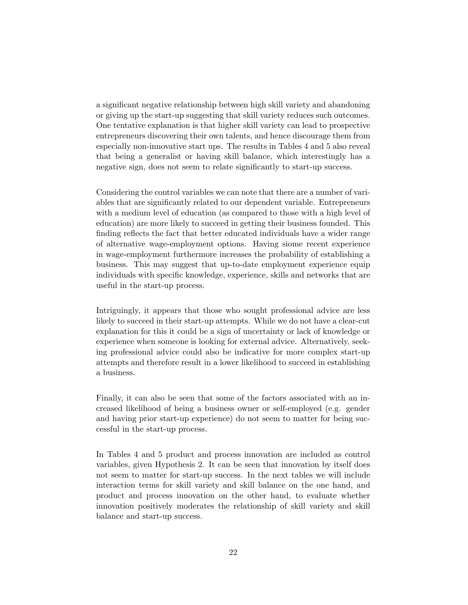a significant negative relationship between high skill variety and abandoning or giving up the start-up suggesting that skill variety reduces such outcomes. One tentative explanation is that higher skill variety can lead to prospective entrepreneurs discovering their own talents, and hence discourage them from especially non-innovative start ups. The results in Tables 4 and 5 also reveal that being a generalist or having skill balance, which interestingly has a negative sign, does not seem to relate significantly to start-up success.

Considering the control variables we can note that there are a number of variables that are significantly related to our dependent variable. Entrepreneurs with a medium level of education (as compared to those with a high level of education) are more likely to succeed in getting their business founded. This finding reflects the fact that better educated individuals have a wider range of alternative wage-employment options. Having siome recent experience in wage-employment furthermore increases the probability of establishing a business. This may suggest that up-to-date employment experience equip individuals with specific knowledge, experience, skills and networks that are useful in the start-up process.

Intriguingly, it appears that those who sought professional advice are less likely to succeed in their start-up attempts. While we do not have a clear-cut explanation for this it could be a sign of uncertainty or lack of knowledge or experience when someone is looking for external advice. Alternatively, seeking professional advice could also be indicative for more complex start-up attempts and therefore result in a lower likelihood to succeed in establishing a business.

Finally, it can also be seen that some of the factors associated with an increased likelihood of being a business owner or self-employed (e.g. gender and having prior start-up experience) do not seem to matter for being successful in the start-up process.

In Tables 4 and 5 product and process innovation are included as control variables, given Hypothesis 2. It can be seen that innovation by itself does not seem to matter for start-up success. In the next tables we will include interaction terms for skill variety and skill balance on the one hand, and product and process innovation on the other hand, to evaluate whether innovation positively moderates the relationship of skill variety and skill balance and start-up success.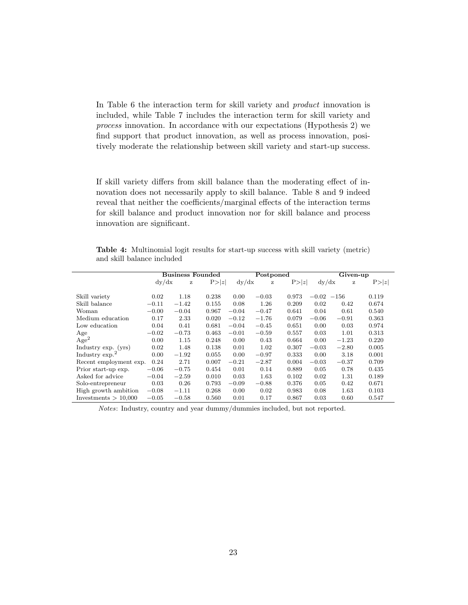In Table 6 the interaction term for skill variety and *product* innovation is included, while Table 7 includes the interaction term for skill variety and process innovation. In accordance with our expectations (Hypothesis 2) we find support that product innovation, as well as process innovation, positively moderate the relationship between skill variety and start-up success.

If skill variety differs from skill balance than the moderating effect of innovation does not necessarily apply to skill balance. Table 8 and 9 indeed reveal that neither the coefficients/marginal effects of the interaction terms for skill balance and product innovation nor for skill balance and process innovation are significant.

Table 4: Multinomial logit results for start-up success with skill variety (metric) and skill balance included

|                        | <b>Business Founded</b> |         |       |         | Postponed |        |              | Given-up     |       |  |  |
|------------------------|-------------------------|---------|-------|---------|-----------|--------|--------------|--------------|-------|--|--|
|                        | dy/dx                   | z       | P> z  | dy/dx   | z         | P >  z | dy/dx        | $\mathbf{z}$ | P> z  |  |  |
|                        |                         |         |       |         |           |        |              |              |       |  |  |
| Skill variety          | 0.02                    | 1.18    | 0.238 | 0.00    | $-0.03$   | 0.973  | $-0.02 -156$ |              | 0.119 |  |  |
| Skill balance          | $-0.11$                 | $-1.42$ | 0.155 | 0.08    | 1.26      | 0.209  | 0.02         | 0.42         | 0.674 |  |  |
| Woman                  | $-0.00$                 | $-0.04$ | 0.967 | $-0.04$ | $-0.47$   | 0.641  | 0.04         | 0.61         | 0.540 |  |  |
| Medium education       | 0.17                    | 2.33    | 0.020 | $-0.12$ | $-1.76$   | 0.079  | $-0.06$      | $-0.91$      | 0.363 |  |  |
| Low education          | 0.04                    | 0.41    | 0.681 | $-0.04$ | $-0.45$   | 0.651  | 0.00         | 0.03         | 0.974 |  |  |
| Age                    | $-0.02$                 | $-0.73$ | 0.463 | $-0.01$ | $-0.59$   | 0.557  | 0.03         | 1.01         | 0.313 |  |  |
| Age <sup>2</sup>       | 0.00                    | 1.15    | 0.248 | 0.00    | 0.43      | 0.664  | 0.00         | $-1.23$      | 0.220 |  |  |
| Industry exp. (yrs)    | 0.02                    | 1.48    | 0.138 | 0.01    | 1.02      | 0.307  | $-0.03$      | $-2.80$      | 0.005 |  |  |
| Industry $\exp^{-2}$   | 0.00                    | $-1.92$ | 0.055 | 0.00    | $-0.97$   | 0.333  | 0.00         | 3.18         | 0.001 |  |  |
| Recent employment exp. | 0.24                    | 2.71    | 0.007 | $-0.21$ | $-2.87$   | 0.004  | $-0.03$      | $-0.37$      | 0.709 |  |  |
| Prior start-up exp.    | $-0.06$                 | $-0.75$ | 0.454 | 0.01    | 0.14      | 0.889  | 0.05         | 0.78         | 0.435 |  |  |
| Asked for advice       | $-0.04$                 | $-2.59$ | 0.010 | 0.03    | 1.63      | 0.102  | 0.02         | 1.31         | 0.189 |  |  |
| Solo-entrepreneur      | 0.03                    | 0.26    | 0.793 | $-0.09$ | $-0.88$   | 0.376  | 0.05         | 0.42         | 0.671 |  |  |
| High growth ambition   | $-0.08$                 | $-1.11$ | 0.268 | 0.00    | 0.02      | 0.983  | 0.08         | 1.63         | 0.103 |  |  |
| Investments $> 10,000$ | $-0.05$                 | $-0.58$ | 0.560 | 0.01    | 0.17      | 0.867  | 0.03         | 0.60         | 0.547 |  |  |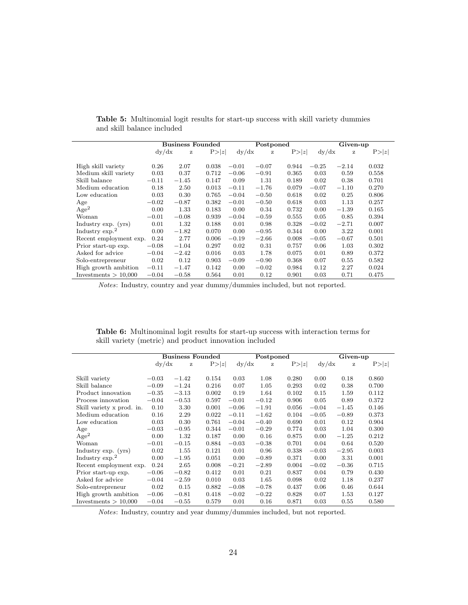|                        |         | <b>Business Founded</b> |                  |                    | Postponed | Given-up              |       |  |  |
|------------------------|---------|-------------------------|------------------|--------------------|-----------|-----------------------|-------|--|--|
|                        | dy/dx   | z                       | P> z             | dy/dx<br>$\bf{Z}$  | P> z      | dy/dx<br>$\mathbf{z}$ | P> z  |  |  |
|                        |         |                         |                  |                    |           |                       |       |  |  |
| High skill variety     | 0.26    | 2.07                    | 0.038            | $-0.01$<br>$-0.07$ | 0.944     | $-0.25$<br>$-2.14$    | 0.032 |  |  |
| Medium skill variety   | 0.03    | 0.37                    | 0.712            | $-0.91$<br>$-0.06$ | 0.365     | 0.03<br>0.59          | 0.558 |  |  |
| Skill balance          | $-0.11$ | $-1.45$                 | 0.147            | 0.09<br>1.31       | 0.189     | 0.38<br>0.02          | 0.701 |  |  |
| Medium education       | 0.18    | 2.50                    | $-0.11$<br>0.013 | $-1.76$            | 0.079     | $-0.07$<br>$-1.10$    | 0.270 |  |  |
| Low education          | 0.03    | 0.30                    | 0.765            | $-0.50$<br>$-0.04$ | 0.618     | 0.02<br>0.25          | 0.806 |  |  |
| Age                    | $-0.02$ | $-0.87$                 | 0.382<br>$-0.01$ | $-0.50$            | 0.618     | 1.13<br>0.03          | 0.257 |  |  |
| Age <sup>2</sup>       | 0.00    | 1.33                    | 0.183            | 0.00<br>0.34       | 0.732     | 0.00<br>$-1.39$       | 0.165 |  |  |
| Woman                  | $-0.01$ | $-0.08$                 | 0.939            | $-0.04$<br>$-0.59$ | 0.555     | 0.05<br>0.85          | 0.394 |  |  |
| Industry exp. (yrs)    | 0.01    | 1.32                    | 0.188            | 0.01<br>0.98       | 0.328     | $-0.02$<br>$-2.71$    | 0.007 |  |  |
| Industry $\exp^{-2}$   | 0.00    | $-1.82$                 | 0.070            | $-0.95$<br>0.00    | 0.344     | 0.00<br>3.22          | 0.001 |  |  |
| Recent employment exp. | 0.24    | 2.77                    | 0.006            | $-0.19$<br>$-2.66$ | 0.008     | $-0.67$<br>$-0.05$    | 0.501 |  |  |
| Prior start-up exp.    | $-0.08$ | $-1.04$                 | 0.297            | 0.02<br>0.31       | 0.757     | 1.03<br>0.06          | 0.302 |  |  |
| Asked for advice       | $-0.04$ | $-2.42$                 | 0.016            | 1.78<br>0.03       | 0.075     | 0.01<br>0.89          | 0.372 |  |  |
| Solo-entrepreneur      | 0.02    | 0.12                    | 0.903            | $-0.09$<br>$-0.90$ | 0.368     | 0.07<br>0.55          | 0.582 |  |  |
| High growth ambition   | $-0.11$ | $-1.47$                 | 0.142            | 0.00<br>$-0.02$    | 0.984     | 0.12<br>2.27          | 0.024 |  |  |
| Investments $> 10,000$ | $-0.04$ | $-0.58$                 | 0.564            | 0.01<br>0.12       | 0.901     | 0.03<br>0.71          | 0.475 |  |  |

Table 5: Multinomial logit results for start-up success with skill variety dummies and skill balance included

Notes: Industry, country and year dummy/dummies included, but not reported.

|                           | <b>Business Founded</b> |         |       |         | Postponed |       |         | Given-up     |       |  |
|---------------------------|-------------------------|---------|-------|---------|-----------|-------|---------|--------------|-------|--|
|                           | dy/dx                   | z       | P> z  | dy/dx   | z         | P> z  | dy/dx   | $\mathbf{z}$ | P> z  |  |
|                           |                         |         |       |         |           |       |         |              |       |  |
| Skill variety             | $-0.03$                 | $-1.42$ | 0.154 | 0.03    | 1.08      | 0.280 | 0.00    | 0.18         | 0.860 |  |
| Skill balance             | $-0.09$                 | $-1.24$ | 0.216 | 0.07    | 1.05      | 0.293 | 0.02    | 0.38         | 0.700 |  |
| Product innovation        | $-0.35$                 | $-3.13$ | 0.002 | 0.19    | 1.64      | 0.102 | 0.15    | 1.59         | 0.112 |  |
| Process innovation        | $-0.04$                 | $-0.53$ | 0.597 | $-0.01$ | $-0.12$   | 0.906 | 0.05    | 0.89         | 0.372 |  |
| Skill variety x prod. in. | 0.10                    | 3.30    | 0.001 | $-0.06$ | $-1.91$   | 0.056 | $-0.04$ | $-1.45$      | 0.146 |  |
| Medium education          | 0.16                    | 2.29    | 0.022 | $-0.11$ | $-1.62$   | 0.104 | $-0.05$ | $-0.89$      | 0.373 |  |
| Low education             | 0.03                    | 0.30    | 0.761 | $-0.04$ | $-0.40$   | 0.690 | 0.01    | 0.12         | 0.904 |  |
| Age                       | $-0.03$                 | $-0.95$ | 0.344 | $-0.01$ | $-0.29$   | 0.774 | 0.03    | 1.04         | 0.300 |  |
| Age <sup>2</sup>          | 0.00                    | 1.32    | 0.187 | 0.00    | 0.16      | 0.875 | 0.00    | $-1.25$      | 0.212 |  |
| Woman                     | $-0.01$                 | $-0.15$ | 0.884 | $-0.03$ | $-0.38$   | 0.701 | 0.04    | 0.64         | 0.520 |  |
| Industry exp. (yrs)       | 0.02                    | 1.55    | 0.121 | 0.01    | 0.96      | 0.338 | $-0.03$ | $-2.95$      | 0.003 |  |
| Industry $\exp^{-2}$      | 0.00                    | $-1.95$ | 0.051 | 0.00    | $-0.89$   | 0.371 | 0.00    | 3.31         | 0.001 |  |
| Recent employment exp.    | 0.24                    | 2.65    | 0.008 | $-0.21$ | $-2.89$   | 0.004 | $-0.02$ | $-0.36$      | 0.715 |  |
| Prior start-up exp.       | $-0.06$                 | $-0.82$ | 0.412 | 0.01    | 0.21      | 0.837 | 0.04    | 0.79         | 0.430 |  |
| Asked for advice          | $-0.04$                 | $-2.59$ | 0.010 | 0.03    | 1.65      | 0.098 | 0.02    | 1.18         | 0.237 |  |
| Solo-entrepreneur         | 0.02                    | 0.15    | 0.882 | $-0.08$ | $-0.78$   | 0.437 | 0.06    | 0.46         | 0.644 |  |
| High growth ambition      | $-0.06$                 | $-0.81$ | 0.418 | $-0.02$ | $-0.22$   | 0.828 | 0.07    | 1.53         | 0.127 |  |
| Investments $> 10,000$    | $-0.04$                 | $-0.55$ | 0.579 | 0.01    | 0.16      | 0.871 | 0.03    | 0.55         | 0.580 |  |

Table 6: Multinominal logit results for start-up success with interaction terms for skill variety (metric) and product innovation included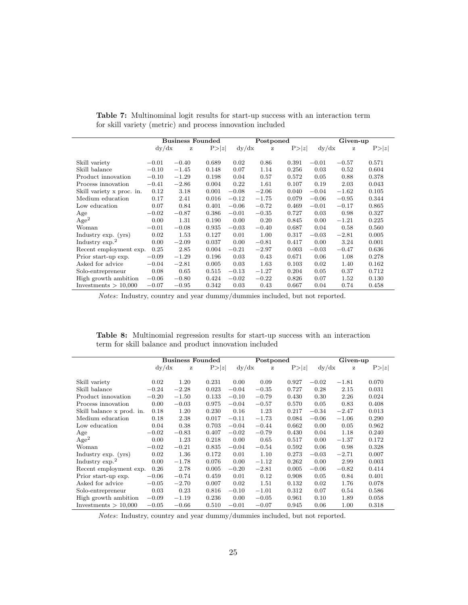|                           | <b>Business Founded</b> |         |       |         | Postponed |       | Given-up |         |       |  |
|---------------------------|-------------------------|---------|-------|---------|-----------|-------|----------|---------|-------|--|
|                           | dy/dx                   | z       | P> z  | dy/dx   | $\bf{Z}$  | P> z  | dy/dx    | z       | P> z  |  |
| Skill variety             | $-0.01$                 | $-0.40$ | 0.689 | 0.02    | 0.86      | 0.391 | $-0.01$  | $-0.57$ | 0.571 |  |
| Skill balance             | $-0.10$                 | $-1.45$ | 0.148 | 0.07    | 1.14      | 0.256 | 0.03     | 0.52    | 0.604 |  |
| Product innovation        | $-0.10$                 | $-1.29$ | 0.198 | 0.04    | 0.57      | 0.572 | 0.05     | 0.88    | 0.378 |  |
| Process innovation        | $-0.41$                 | $-2.86$ | 0.004 | 0.22    | 1.61      | 0.107 | 0.19     | 2.03    | 0.043 |  |
| Skill variety x proc. in. | 0.12                    | 3.18    | 0.001 | $-0.08$ | $-2.06$   | 0.040 | $-0.04$  | $-1.62$ | 0.105 |  |
| Medium education          | 0.17                    | 2.41    | 0.016 | $-0.12$ | $-1.75$   | 0.079 | $-0.06$  | $-0.95$ | 0.344 |  |
| Low education             | 0.07                    | 0.84    | 0.401 | $-0.06$ | $-0.72$   | 0.469 | $-0.01$  | $-0.17$ | 0.865 |  |
| Age                       | $-0.02$                 | $-0.87$ | 0.386 | $-0.01$ | $-0.35$   | 0.727 | 0.03     | 0.98    | 0.327 |  |
| Age <sup>2</sup>          | 0.00                    | 1.31    | 0.190 | 0.00    | 0.20      | 0.845 | 0.00     | $-1.21$ | 0.225 |  |
| Woman                     | $-0.01$                 | $-0.08$ | 0.935 | $-0.03$ | $-0.40$   | 0.687 | 0.04     | 0.58    | 0.560 |  |
| Industry exp. (yrs)       | 0.02                    | 1.53    | 0.127 | 0.01    | 1.00      | 0.317 | $-0.03$  | $-2.81$ | 0.005 |  |
| Industry $\exp^{-2}$      | 0.00                    | $-2.09$ | 0.037 | 0.00    | $-0.81$   | 0.417 | 0.00     | 3.24    | 0.001 |  |
| Recent employment exp.    | 0.25                    | 2.85    | 0.004 | $-0.21$ | $-2.97$   | 0.003 | $-0.03$  | $-0.47$ | 0.636 |  |
| Prior start-up exp.       | $-0.09$                 | $-1.29$ | 0.196 | 0.03    | 0.43      | 0.671 | 0.06     | 1.08    | 0.278 |  |
| Asked for advice          | $-0.04$                 | $-2.81$ | 0.005 | 0.03    | 1.63      | 0.103 | 0.02     | 1.40    | 0.162 |  |
| Solo-entrepreneur         | 0.08                    | 0.65    | 0.515 | $-0.13$ | $-1.27$   | 0.204 | 0.05     | 0.37    | 0.712 |  |
| High growth ambition      | $-0.06$                 | $-0.80$ | 0.424 | $-0.02$ | $-0.22$   | 0.826 | 0.07     | 1.52    | 0.130 |  |
| Investments $> 10,000$    | $-0.07$                 | $-0.95$ | 0.342 | 0.03    | 0.43      | 0.667 | 0.04     | 0.74    | 0.458 |  |

Table 7: Multinominal logit results for start-up success with an interaction term for skill variety (metric) and process innovation included

 $\overline{a}$ 

Notes: Industry, country and year dummy/dummies included, but not reported.

|                           | <b>Business Founded</b> |         |        |         | Postponed    |        |         | Given-up     |       |  |  |
|---------------------------|-------------------------|---------|--------|---------|--------------|--------|---------|--------------|-------|--|--|
|                           | dy/dx                   | z       | P >  z | dy/dx   | $\mathbf{z}$ | P >  z | dy/dx   | $\mathbf{z}$ | P> z  |  |  |
|                           |                         |         |        |         |              |        |         |              |       |  |  |
| Skill variety             | 0.02                    | 1.20    | 0.231  | 0.00    | 0.09         | 0.927  | $-0.02$ | $-1.81$      | 0.070 |  |  |
| Skill balance             | $-0.24$                 | $-2.28$ | 0.023  | $-0.04$ | $-0.35$      | 0.727  | 0.28    | 2.15         | 0.031 |  |  |
| Product innovation        | $-0.20$                 | $-1.50$ | 0.133  | $-0.10$ | $-0.79$      | 0.430  | 0.30    | 2.26         | 0.024 |  |  |
| Process innovation        | 0.00                    | $-0.03$ | 0.975  | $-0.04$ | $-0.57$      | 0.570  | 0.05    | 0.83         | 0.408 |  |  |
| Skill balance x prod. in. | 0.18                    | 1.20    | 0.230  | 0.16    | 1.23         | 0.217  | $-0.34$ | $-2.47$      | 0.013 |  |  |
| Medium education          | 0.18                    | 2.38    | 0.017  | $-0.11$ | $-1.73$      | 0.084  | $-0.06$ | $-1.06$      | 0.290 |  |  |
| Low education             | 0.04                    | 0.38    | 0.703  | $-0.04$ | $-0.44$      | 0.662  | 0.00    | 0.05         | 0.962 |  |  |
| Age                       | $-0.02$                 | $-0.83$ | 0.407  | $-0.02$ | $-0.79$      | 0.430  | 0.04    | 1.18         | 0.240 |  |  |
| Age <sup>2</sup>          | 0.00                    | 1.23    | 0.218  | 0.00    | 0.65         | 0.517  | 0.00    | $-1.37$      | 0.172 |  |  |
| Woman                     | $-0.02$                 | $-0.21$ | 0.835  | $-0.04$ | $-0.54$      | 0.592  | 0.06    | 0.98         | 0.328 |  |  |
| Industry exp. (yrs)       | 0.02                    | 1.36    | 0.172  | 0.01    | 1.10         | 0.273  | $-0.03$ | $-2.71$      | 0.007 |  |  |
| Industry $\exp^{-2}$      | 0.00                    | $-1.78$ | 0.076  | 0.00    | $-1.12$      | 0.262  | 0.00    | 2.99         | 0.003 |  |  |
| Recent employment exp.    | 0.26                    | 2.78    | 0.005  | $-0.20$ | $-2.81$      | 0.005  | $-0.06$ | $-0.82$      | 0.414 |  |  |
| Prior start-up exp.       | $-0.06$                 | $-0.74$ | 0.459  | 0.01    | 0.12         | 0.908  | 0.05    | 0.84         | 0.401 |  |  |
| Asked for advice          | $-0.05$                 | $-2.70$ | 0.007  | 0.02    | 1.51         | 0.132  | 0.02    | 1.76         | 0.078 |  |  |
| Solo-entrepreneur         | 0.03                    | 0.23    | 0.816  | $-0.10$ | $-1.01$      | 0.312  | 0.07    | 0.54         | 0.586 |  |  |
| High growth ambition      | $-0.09$                 | $-1.19$ | 0.236  | 0.00    | $-0.05$      | 0.961  | 0.10    | 1.89         | 0.058 |  |  |
| Investments $> 10,000$    | $-0.05$                 | $-0.66$ | 0.510  | $-0.01$ | $-0.07$      | 0.945  | 0.06    | 1.00         | 0.318 |  |  |

Table 8: Multinomial regression results for start-up success with an interaction term for skill balance and product innovation included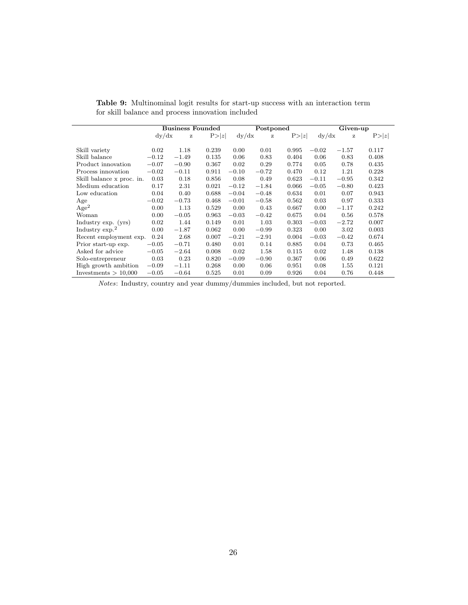|                                |         | <b>Business Founded</b> |       |         | Postponed |        |         | Given-up     |       |
|--------------------------------|---------|-------------------------|-------|---------|-----------|--------|---------|--------------|-------|
|                                |         |                         |       |         |           |        |         |              |       |
|                                | dy/dx   | z                       | P> z  | dy/dx   | $\bf{z}$  | P >  z | dy/dx   | $\mathbf{z}$ | P> z  |
|                                |         |                         |       |         |           |        |         |              |       |
| Skill variety                  | 0.02    | 1.18                    | 0.239 | 0.00    | 0.01      | 0.995  | $-0.02$ | $-1.57$      | 0.117 |
| Skill balance                  | $-0.12$ | $-1.49$                 | 0.135 | 0.06    | 0.83      | 0.404  | 0.06    | 0.83         | 0.408 |
| Product innovation             | $-0.07$ | $-0.90$                 | 0.367 | 0.02    | 0.29      | 0.774  | 0.05    | 0.78         | 0.435 |
| Process innovation             | $-0.02$ | $-0.11$                 | 0.911 | $-0.10$ | $-0.72$   | 0.470  | 0.12    | 1.21         | 0.228 |
| Skill balance x proc. in.      | 0.03    | 0.18                    | 0.856 | 0.08    | 0.49      | 0.623  | $-0.11$ | $-0.95$      | 0.342 |
| Medium education               | 0.17    | 2.31                    | 0.021 | $-0.12$ | $-1.84$   | 0.066  | $-0.05$ | $-0.80$      | 0.423 |
| Low education                  | 0.04    | 0.40                    | 0.688 | $-0.04$ | $-0.48$   | 0.634  | 0.01    | 0.07         | 0.943 |
| Age                            | $-0.02$ | $-0.73$                 | 0.468 | $-0.01$ | $-0.58$   | 0.562  | 0.03    | 0.97         | 0.333 |
| Age <sup>2</sup>               | 0.00    | 1.13                    | 0.529 | 0.00    | 0.43      | 0.667  | 0.00    | $-1.17$      | 0.242 |
| Woman                          | 0.00    | $-0.05$                 | 0.963 | $-0.03$ | $-0.42$   | 0.675  | 0.04    | 0.56         | 0.578 |
| Industry exp. (yrs)            | 0.02    | 1.44                    | 0.149 | 0.01    | 1.03      | 0.303  | $-0.03$ | $-2.72$      | 0.007 |
| Industry $\exp$ . <sup>2</sup> | 0.00    | $-1.87$                 | 0.062 | 0.00    | $-0.99$   | 0.323  | 0.00    | 3.02         | 0.003 |
| Recent employment exp.         | 0.24    | 2.68                    | 0.007 | $-0.21$ | $-2.91$   | 0.004  | $-0.03$ | $-0.42$      | 0.674 |
| Prior start-up exp.            | $-0.05$ | $-0.71$                 | 0.480 | 0.01    | 0.14      | 0.885  | 0.04    | 0.73         | 0.465 |
| Asked for advice               | $-0.05$ | $-2.64$                 | 0.008 | 0.02    | 1.58      | 0.115  | 0.02    | 1.48         | 0.138 |
| Solo-entrepreneur              | 0.03    | 0.23                    | 0.820 | $-0.09$ | $-0.90$   | 0.367  | 0.06    | 0.49         | 0.622 |
| High growth ambition           | $-0.09$ | $-1.11$                 | 0.268 | 0.00    | 0.06      | 0.951  | 0.08    | 1.55         | 0.121 |
| Investments $> 10,000$         | $-0.05$ | $-0.64$                 | 0.525 | 0.01    | 0.09      | 0.926  | 0.04    | 0.76         | 0.448 |

Table 9: Multinominal logit results for start-up success with an interaction term for skill balance and process innovation included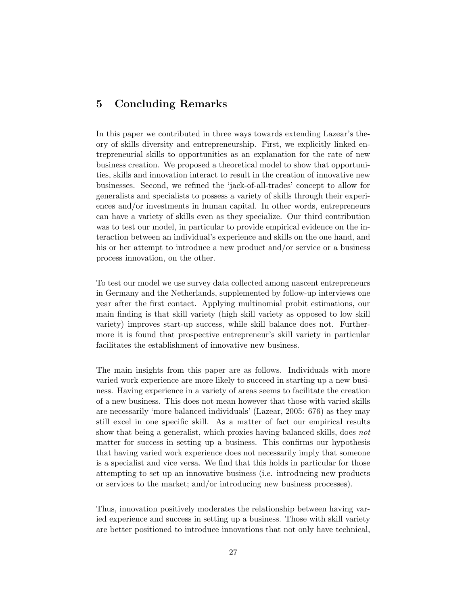### 5 Concluding Remarks

In this paper we contributed in three ways towards extending Lazear's theory of skills diversity and entrepreneurship. First, we explicitly linked entrepreneurial skills to opportunities as an explanation for the rate of new business creation. We proposed a theoretical model to show that opportunities, skills and innovation interact to result in the creation of innovative new businesses. Second, we refined the 'jack-of-all-trades' concept to allow for generalists and specialists to possess a variety of skills through their experiences and/or investments in human capital. In other words, entrepreneurs can have a variety of skills even as they specialize. Our third contribution was to test our model, in particular to provide empirical evidence on the interaction between an individual's experience and skills on the one hand, and his or her attempt to introduce a new product and/or service or a business process innovation, on the other.

To test our model we use survey data collected among nascent entrepreneurs in Germany and the Netherlands, supplemented by follow-up interviews one year after the first contact. Applying multinomial probit estimations, our main finding is that skill variety (high skill variety as opposed to low skill variety) improves start-up success, while skill balance does not. Furthermore it is found that prospective entrepreneur's skill variety in particular facilitates the establishment of innovative new business.

The main insights from this paper are as follows. Individuals with more varied work experience are more likely to succeed in starting up a new business. Having experience in a variety of areas seems to facilitate the creation of a new business. This does not mean however that those with varied skills are necessarily 'more balanced individuals' (Lazear, 2005: 676) as they may still excel in one specific skill. As a matter of fact our empirical results show that being a generalist, which proxies having balanced skills, does not matter for success in setting up a business. This confirms our hypothesis that having varied work experience does not necessarily imply that someone is a specialist and vice versa. We find that this holds in particular for those attempting to set up an innovative business (i.e. introducing new products or services to the market; and/or introducing new business processes).

Thus, innovation positively moderates the relationship between having varied experience and success in setting up a business. Those with skill variety are better positioned to introduce innovations that not only have technical,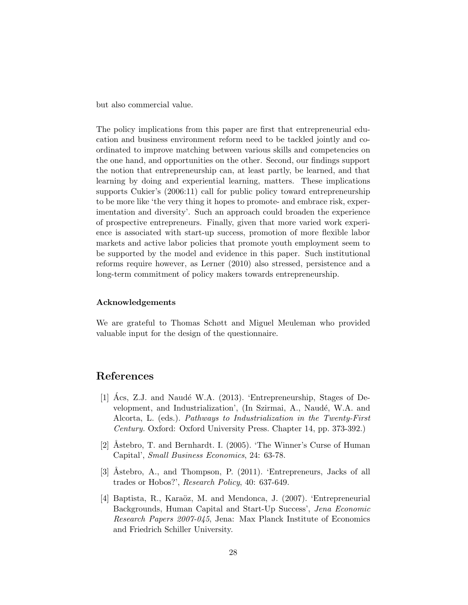but also commercial value.

The policy implications from this paper are first that entrepreneurial education and business environment reform need to be tackled jointly and coordinated to improve matching between various skills and competencies on the one hand, and opportunities on the other. Second, our findings support the notion that entrepreneurship can, at least partly, be learned, and that learning by doing and experiential learning, matters. These implications supports Cukier's (2006:11) call for public policy toward entrepreneurship to be more like 'the very thing it hopes to promote- and embrace risk, experimentation and diversity'. Such an approach could broaden the experience of prospective entrepreneurs. Finally, given that more varied work experience is associated with start-up success, promotion of more flexible labor markets and active labor policies that promote youth employment seem to be supported by the model and evidence in this paper. Such institutional reforms require however, as Lerner (2010) also stressed, persistence and a long-term commitment of policy makers towards entrepreneurship.

#### Acknowledgements

We are grateful to Thomas Schøtt and Miguel Meuleman who provided valuable input for the design of the questionnaire.

#### References

- [1] Acs, Z.J. and Naudé W.A.  $(2013)$ . 'Entrepreneurship, Stages of Development, and Industrialization', (In Szirmai, A., Naudé, W.A. and Alcorta, L. (eds.). Pathways to Industrialization in the Twenty-First Century. Oxford: Oxford University Press. Chapter 14, pp. 373-392.)
- [2] Åstebro, T. and Bernhardt. I. (2005). 'The Winner's Curse of Human Capital', Small Business Economics, 24: 63-78.
- [3] Astebro, A., and Thompson, P. (2011). 'Entrepreneurs, Jacks of all trades or Hobos?', Research Policy, 40: 637-649.
- [4] Baptista, R., Karaöz, M. and Mendonca, J. (2007). 'Entrepreneurial Backgrounds, Human Capital and Start-Up Success', Jena Economic Research Papers 2007-045, Jena: Max Planck Institute of Economics and Friedrich Schiller University.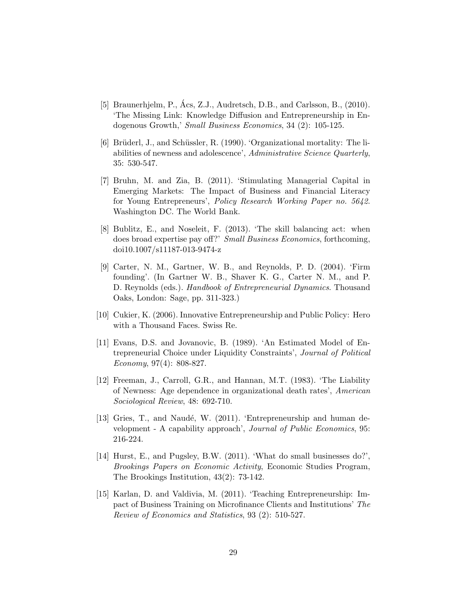- [5] Braunerhjelm, P., Ács, Z.J., Audretsch, D.B., and Carlsson, B., (2010). 'The Missing Link: Knowledge Diffusion and Entrepreneurship in Endogenous Growth,' Small Business Economics, 34 (2): 105-125.
- [6] Brüderl, J., and Schüssler, R. (1990). 'Organizational mortality: The liabilities of newness and adolescence', Administrative Science Quarterly, 35: 530-547.
- [7] Bruhn, M. and Zia, B. (2011). 'Stimulating Managerial Capital in Emerging Markets: The Impact of Business and Financial Literacy for Young Entrepreneurs', Policy Research Working Paper no. 5642. Washington DC. The World Bank.
- [8] Bublitz, E., and Noseleit, F. (2013). 'The skill balancing act: when does broad expertise pay off?' Small Business Economics, forthcoming, doi10.1007/s11187-013-9474-z
- [9] Carter, N. M., Gartner, W. B., and Reynolds, P. D. (2004). 'Firm founding'. (In Gartner W. B., Shaver K. G., Carter N. M., and P. D. Reynolds (eds.). Handbook of Entrepreneurial Dynamics. Thousand Oaks, London: Sage, pp. 311-323.)
- [10] Cukier, K. (2006). Innovative Entrepreneurship and Public Policy: Hero with a Thousand Faces. Swiss Re.
- [11] Evans, D.S. and Jovanovic, B. (1989). 'An Estimated Model of Entrepreneurial Choice under Liquidity Constraints', Journal of Political Economy, 97(4): 808-827.
- [12] Freeman, J., Carroll, G.R., and Hannan, M.T. (1983). 'The Liability of Newness: Age dependence in organizational death rates', American Sociological Review, 48: 692-710.
- [13] Gries, T., and Naudé, W. (2011). 'Entrepreneurship and human development - A capability approach', Journal of Public Economics, 95: 216-224.
- [14] Hurst, E., and Pugsley, B.W. (2011). 'What do small businesses do?', Brookings Papers on Economic Activity, Economic Studies Program, The Brookings Institution, 43(2): 73-142.
- [15] Karlan, D. and Valdivia, M. (2011). 'Teaching Entrepreneurship: Impact of Business Training on Microfinance Clients and Institutions' The Review of Economics and Statistics, 93 (2): 510-527.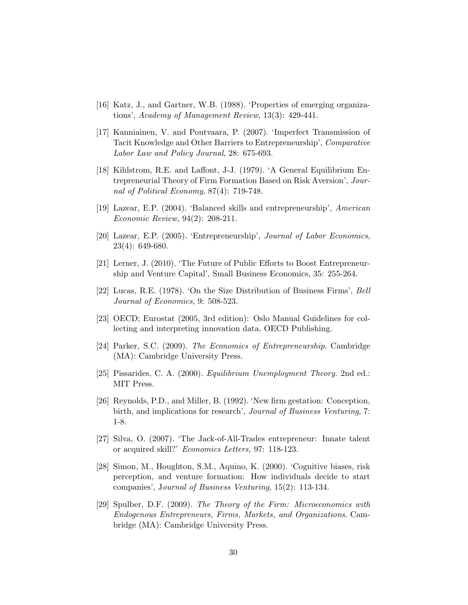- [16] Katz, J., and Gartner, W.B. (1988). 'Properties of emerging organizations', Academy of Management Review, 13(3): 429-441.
- [17] Kanniainen, V. and Poutvaara, P. (2007). 'Imperfect Transmission of Tacit Knowledge and Other Barriers to Entrepreneurship', Comparative Labor Law and Policy Journal, 28: 675-693.
- [18] Kihlstrom, R.E. and Laffont, J-J. (1979). 'A General Equilibrium Entrepreneurial Theory of Firm Formation Based on Risk Aversion', Journal of Political Economy, 87(4): 719-748.
- [19] Lazear, E.P. (2004). 'Balanced skills and entrepreneurship', American Economic Review, 94(2): 208-211.
- [20] Lazear, E.P. (2005). 'Entrepreneurship', Journal of Labor Economics, 23(4): 649-680.
- [21] Lerner, J. (2010). 'The Future of Public Efforts to Boost Entrepreneurship and Venture Capital', Small Business Economics, 35: 255-264.
- [22] Lucas, R.E. (1978). 'On the Size Distribution of Business Firms', Bell Journal of Economics, 9: 508-523.
- [23] OECD; Eurostat (2005, 3rd edition): Oslo Manual Guidelines for collecting and interpreting innovation data. OECD Publishing.
- [24] Parker, S.C. (2009). The Economics of Entrepreneurship. Cambridge (MA): Cambridge University Press.
- [25] Pissarides, C. A. (2000). Equilibrium Unemployment Theory. 2nd ed.: MIT Press.
- [26] Reynolds, P.D., and Miller, B. (1992). 'New firm gestation: Conception, birth, and implications for research', Journal of Business Venturing, 7: 1-8.
- [27] Silva, O. (2007). 'The Jack-of-All-Trades entrepreneur: Innate talent or acquired skill?' Economics Letters, 97: 118-123.
- [28] Simon, M., Houghton, S.M., Aquino, K. (2000). 'Cognitive biases, risk perception, and venture formation: How individuals decide to start companies', Journal of Business Venturing, 15(2): 113-134.
- [29] Spulber, D.F. (2009). The Theory of the Firm: Microeconomics with Endogenous Entrepreneurs, Firms, Markets, and Organizations. Cambridge (MA): Cambridge University Press.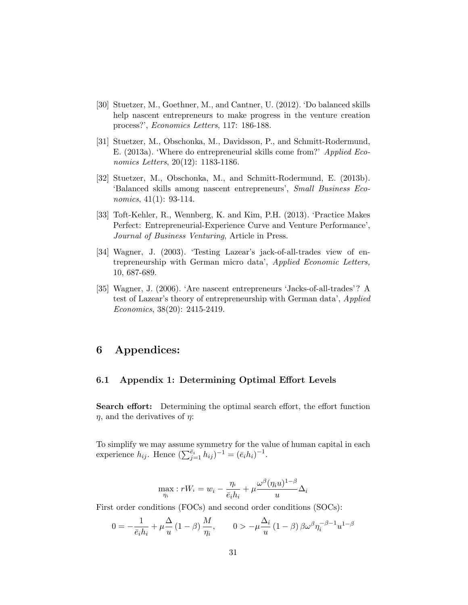- [30] Stuetzer, M., Goethner, M., and Cantner, U. (2012). 'Do balanced skills help nascent entrepreneurs to make progress in the venture creation process?', Economics Letters, 117: 186-188.
- [31] Stuetzer, M., Obschonka, M., Davidsson, P., and Schmitt-Rodermund, E. (2013a). 'Where do entrepreneurial skills come from?' Applied Economics Letters, 20(12): 1183-1186.
- [32] Stuetzer, M., Obschonka, M., and Schmitt-Rodermund, E. (2013b). 'Balanced skills among nascent entrepreneurs', Small Business Economics, 41(1): 93-114.
- [33] Toft-Kehler, R., Wennberg, K. and Kim, P.H. (2013). 'Practice Makes Perfect: Entrepreneurial-Experience Curve and Venture Performance', Journal of Business Venturing, Article in Press.
- [34] Wagner, J. (2003). 'Testing Lazear's jack-of-all-trades view of entrepreneurship with German micro data', Applied Economic Letters, 10, 687-689.
- [35] Wagner, J. (2006). 'Are nascent entrepreneurs 'Jacks-of-all-trades'? A test of Lazear's theory of entrepreneurship with German data', Applied Economics, 38(20): 2415-2419.

### 6 Appendices:

#### 6.1 Appendix 1: Determining Optimal Effort Levels

Search effort: Determining the optimal search effort, the effort function  $\eta$ , and the derivatives of  $\eta$ :

To simplify we may assume symmetry for the value of human capital in each experience  $h_{ij}$ . Hence  $(\sum_{j=1}^{\bar{e}_i} h_{ij})^{-1} = (\bar{e}_i h_i)^{-1}$ .

$$
\max_{\eta_i} : rW_i = w_i - \frac{\eta_i}{\bar{e}_i h_i} + \mu \frac{\omega^{\beta}(\eta_i u)^{1-\beta}}{u} \Delta_i
$$

First order conditions (FOCs) and second order conditions (SOCs):

$$
0 = -\frac{1}{\bar{e}_i h_i} + \mu \frac{\Delta}{u} (1 - \beta) \frac{M}{\eta_i}, \qquad 0 > -\mu \frac{\Delta_i}{u} (1 - \beta) \beta \omega^\beta \eta_i^{-\beta - 1} u^{1 - \beta}
$$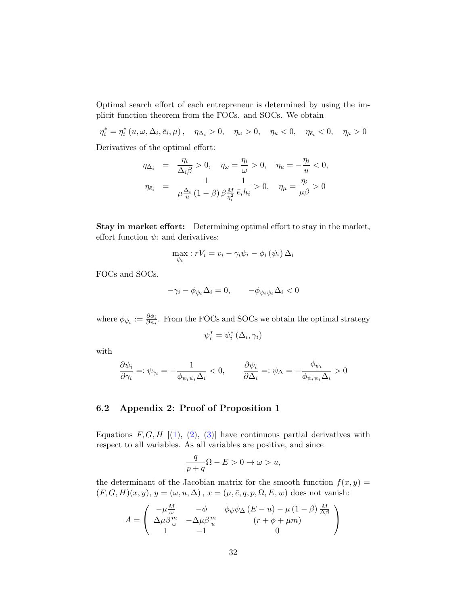Optimal search effort of each entrepreneur is determined by using the implicit function theorem from the FOCs. and SOCs. We obtain

$$
\eta_i^* = \eta_i^* (u, \omega, \Delta_i, \bar{e}_i, \mu), \quad \eta_{\Delta_i} > 0, \quad \eta_{\omega} > 0, \quad \eta_u < 0, \quad \eta_{\bar{e}_i} < 0, \quad \eta_{\mu} > 0
$$
  
Derivatives of the optimal effort:

Derivatives of the optimal effort:

$$
\eta_{\Delta_i} = \frac{\eta_i}{\Delta_i \beta} > 0, \quad \eta_{\omega} = \frac{\eta_i}{\omega} > 0, \quad \eta_u = -\frac{\eta_i}{u} < 0,
$$
  

$$
\eta_{\bar{e}_i} = \frac{1}{\mu \frac{\Delta_i}{u} (1 - \beta) \beta \frac{M}{\eta_i^2}} \frac{1}{\bar{e}_i h_i} > 0, \quad \eta_{\mu} = \frac{\eta_i}{\mu \beta} > 0
$$

Stay in market effort: Determining optimal effort to stay in the market, effort function  $\psi_i$  and derivatives:

$$
\max_{\psi_i} : rV_i = v_i - \gamma_i \psi_i - \phi_i (\psi_i) \Delta_i
$$

FOCs and SOCs.

$$
-\gamma_i - \phi_{\psi_i} \Delta_i = 0, \qquad -\phi_{\psi_i \psi_i} \Delta_i < 0
$$

where  $\phi_{\psi_i} := \frac{\partial \phi_i}{\partial \psi_i}$  $\frac{\partial \phi_i}{\partial \psi_i}$ . From the FOCs and SOCs we obtain the optimal strategy ∗ ∗

$$
\psi_i^* = \psi_i^* \left( \Delta_i, \gamma_i \right)
$$

with

$$
\frac{\partial \psi_i}{\partial \gamma_i} =: \psi_{\gamma_i} = -\frac{1}{\phi_{\psi_i \psi_i} \Delta_i} < 0, \qquad \frac{\partial \psi_i}{\partial \Delta_i} =: \psi_{\Delta} = -\frac{\phi_{\psi_i}}{\phi_{\psi_i \psi_i} \Delta_i} > 0
$$

#### 6.2 Appendix 2: Proof of Proposition 1

Equations  $F, G, H$   $[(1), (2), (3)]$  $[(1), (2), (3)]$  $[(1), (2), (3)]$  $[(1), (2), (3)]$  $[(1), (2), (3)]$  $[(1), (2), (3)]$  $[(1), (2), (3)]$  have continuous partial derivatives with respect to all variables. As all variables are positive, and since

$$
\frac{q}{p+q}\Omega - E > 0 \to \omega > u,
$$

the determinant of the Jacobian matrix for the smooth function  $f(x, y) =$  $(F, G, H)(x, y), y = (\omega, u, \Delta), x = (\mu, \overline{e}, q, p, \Omega, E, w)$  does not vanish:

$$
A = \begin{pmatrix} -\mu \frac{M}{\omega} & -\phi & \phi_{\psi}\psi_{\Delta} (E - u) - \mu (1 - \beta) \frac{M}{\Delta \beta} \\ \Delta \mu \beta \frac{m}{\omega} & -\Delta \mu \beta \frac{m}{u} & (r + \phi + \mu m) \\ 1 & -1 & 0 \end{pmatrix}
$$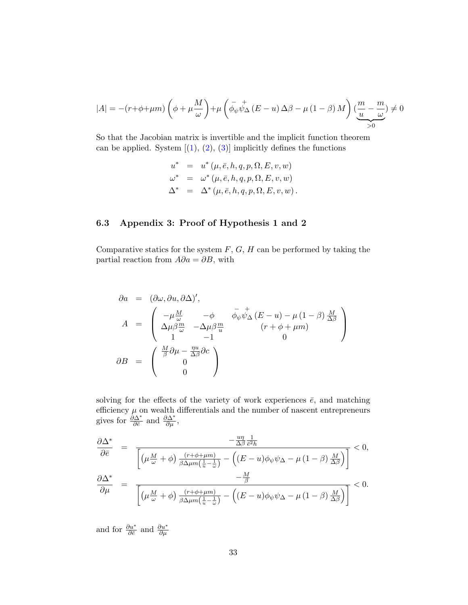$$
|A| = -(r+\phi+\mu m)\left(\phi+\mu\frac{M}{\omega}\right) + \mu\left(\bar{\phi_\psi}\psi_\Delta\left(E-u\right)\Delta\beta - \mu\left(1-\beta\right)M\right)\left(\underbrace{\frac{m}{u}-\frac{m}{\omega}}_{>0}\right) \neq 0
$$

So that the Jacobian matrix is invertible and the implicit function theorem can be applied. System  $[(1), (2), (3)]$  $[(1), (2), (3)]$  $[(1), (2), (3)]$  $[(1), (2), (3)]$  $[(1), (2), (3)]$  $[(1), (2), (3)]$  $[(1), (2), (3)]$  implicitly defines the functions

$$
u^* = u^* (\mu, \bar{e}, h, q, p, \Omega, E, v, w)
$$
  
\n
$$
\omega^* = \omega^* (\mu, \bar{e}, h, q, p, \Omega, E, v, w)
$$
  
\n
$$
\Delta^* = \Delta^* (\mu, \bar{e}, h, q, p, \Omega, E, v, w).
$$

### 6.3 Appendix 3: Proof of Hypothesis 1 and 2

Comparative statics for the system  $F, G, H$  can be performed by taking the partial reaction from  $A\partial a = \partial B$ , with

$$
\partial a = (\partial \omega, \partial u, \partial \Delta)',
$$
  
\n
$$
A = \begin{pmatrix}\n-\mu \frac{M}{\omega} & -\phi & \bar{\phi}_{\psi} \psi_{\Delta} (E - u) - \mu (1 - \beta) \frac{M}{\Delta \beta} \\
\Delta \mu \beta \frac{m}{\omega} & -\Delta \mu \beta \frac{m}{u} & (r + \phi + \mu m) \\
1 & -1 & 0\n\end{pmatrix}
$$
  
\n
$$
\partial B = \begin{pmatrix}\n\frac{M}{\beta} \partial \mu - \frac{m}{\Delta \beta} \partial c \\
0 \\
0\n\end{pmatrix}
$$

solving for the effects of the variety of work experiences  $\bar{e}$ , and matching efficiency  $\mu$  on wealth differentials and the number of nascent entrepreneurs gives for  $\frac{\partial \Delta^*}{\partial \bar{\epsilon}}$  and  $\frac{\partial \Delta^*}{\partial \mu}$ ,

$$
\frac{\partial \Delta^*}{\partial \bar{e}} = \frac{-\frac{u\eta}{\Delta \beta} \frac{1}{\bar{e}^2 h}}{\left[ \left( \mu \frac{M}{\omega} + \phi \right) \frac{(r + \phi + \mu m)}{\beta \Delta \mu m \left( \frac{1}{u} - \frac{1}{\omega} \right)} - \left( (E - u) \phi_{\psi} \psi_{\Delta} - \mu (1 - \beta) \frac{M}{\Delta \beta} \right) \right]} < 0,
$$
  

$$
\frac{\partial \Delta^*}{\partial \mu} = \frac{-\frac{M}{\beta}}{\left[ \left( \mu \frac{M}{\omega} + \phi \right) \frac{(r + \phi + \mu m)}{\beta \Delta \mu m \left( \frac{1}{u} - \frac{1}{\omega} \right)} - \left( (E - u) \phi_{\psi} \psi_{\Delta} - \mu (1 - \beta) \frac{M}{\Delta \beta} \right) \right]} < 0.
$$

and for  $\frac{\partial u^*}{\partial \bar{\epsilon}}$  and  $\frac{\partial u^*}{\partial \mu}$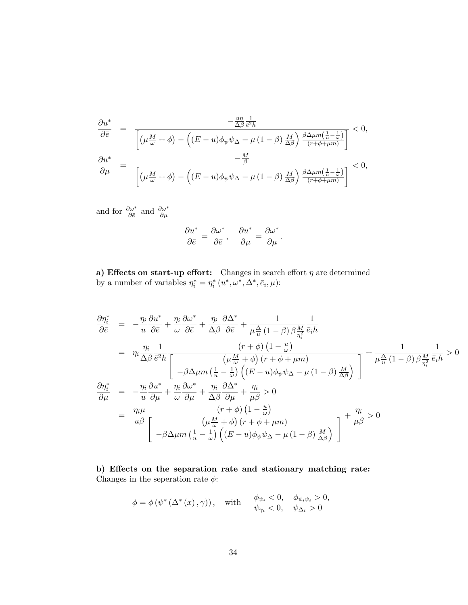$$
\frac{\partial u^*}{\partial \bar{e}} = \frac{-\frac{u\eta}{\Delta \beta} \frac{1}{\bar{e}^2 h}}{\left[ (\mu \frac{M}{\omega} + \phi) - \left( (E - u)\phi_{\psi}\psi_{\Delta} - \mu (1 - \beta) \frac{M}{\Delta \beta} \right) \frac{\beta \Delta \mu m \left( \frac{1}{u} - \frac{1}{\omega} \right)}{(r + \phi + \mu m)} \right]} < 0,
$$
  

$$
\frac{\partial u^*}{\partial \mu} = \frac{-\frac{M}{\beta}}{\left[ (\mu \frac{M}{\omega} + \phi) - \left( (E - u)\phi_{\psi}\psi_{\Delta} - \mu (1 - \beta) \frac{M}{\Delta \beta} \right) \frac{\beta \Delta \mu m \left( \frac{1}{u} - \frac{1}{\omega} \right)}{(r + \phi + \mu m)} \right]} < 0,
$$

and for  $\frac{\partial \omega^*}{\partial \bar{\epsilon}}$  and  $\frac{\partial \omega^*}{\partial \mu}$ 

$$
\frac{\partial u^*}{\partial \bar{e}} = \frac{\partial \omega^*}{\partial \bar{e}}, \quad \frac{\partial u^*}{\partial \mu} = \frac{\partial \omega^*}{\partial \mu}.
$$

a) Effects on start-up effort: Changes in search effort  $\eta$  are determined by a number of variables  $\eta_i^* = \eta_i^* (u^*, \omega^*, \Delta^*, \bar{e}_i, \mu)$ :

$$
\frac{\partial \eta_i^*}{\partial \bar{e}} = -\frac{\eta_i}{u} \frac{\partial u^*}{\partial \bar{e}} + \frac{\eta_i}{\omega} \frac{\partial \omega^*}{\partial \bar{e}} + \frac{\eta_i}{\Delta \beta} \frac{\partial \Delta^*}{\partial \bar{e}} + \frac{1}{\mu \frac{\Delta}{u} (1 - \beta) \beta \frac{M}{\eta_i^2}} \frac{1}{\bar{e}_i h}
$$
\n
$$
= \eta_i \frac{\eta_i}{\Delta \beta} \frac{1}{\bar{e}^2 h} \frac{(r + \phi) (1 - \frac{u}{\omega})}{\left[ -\beta \Delta \mu m \left( \frac{1}{u} - \frac{1}{\omega} \right) \left( (E - u) \phi_\psi \psi_\Delta - \mu (1 - \beta) \frac{M}{\Delta \beta} \right) \right]} + \frac{1}{\mu \frac{\Delta}{u} (1 - \beta) \beta \frac{M}{\eta_i^2}} \frac{1}{\bar{e}_i h} > 0
$$
\n
$$
\frac{\partial \eta_i^*}{\partial \mu} = -\frac{\eta_i}{u} \frac{\partial u^*}{\partial \mu} + \frac{\eta_i}{\omega} \frac{\partial \omega^*}{\partial \mu} + \frac{\eta_i}{\Delta \beta} \frac{\partial \Delta^*}{\partial \mu} + \frac{\eta_i}{\mu \beta} > 0
$$
\n
$$
= \frac{\eta_i \mu}{u \beta} \frac{(r + \phi) (1 - \frac{u}{\omega})}{\left[ -\beta \Delta \mu m \left( \frac{1}{u} - \frac{1}{\omega} \right) \left( (E - u) \phi_\psi \psi_\Delta - \mu (1 - \beta) \frac{M}{\Delta \beta} \right) \right]} + \frac{\eta_i}{\mu \beta} > 0
$$

b) Effects on the separation rate and stationary matching rate: Changes in the seperation rate  $\phi$ :

$$
\phi = \phi \left( \psi^* \left( \Delta^* \left( x \right), \gamma \right) \right), \quad \text{with} \quad \begin{array}{c} \phi_{\psi_i} < 0, \quad \phi_{\psi_i \psi_i} > 0, \\ \psi_{\gamma_i} < 0, \quad \psi_{\Delta_i} > 0 \end{array}
$$